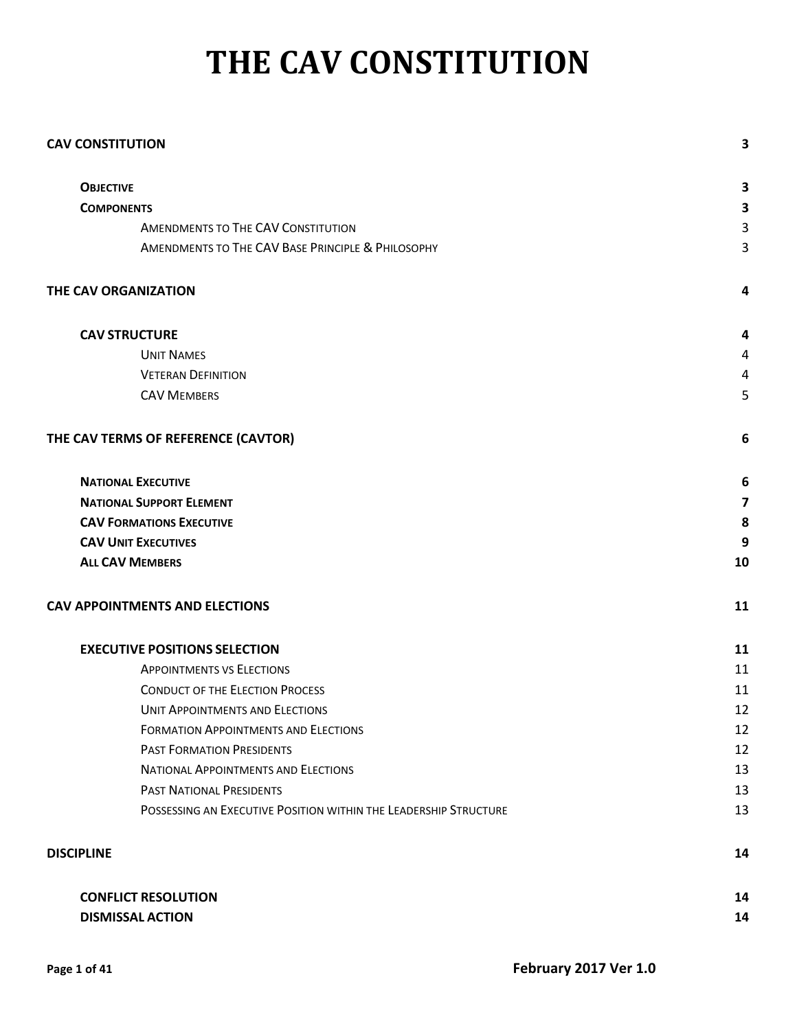# **THE CAV CONSTITUTION**

| <b>CAV CONSTITUTION</b>                                          | 3  |
|------------------------------------------------------------------|----|
| <b>OBJECTIVE</b>                                                 | 3  |
| <b>COMPONENTS</b>                                                | 3  |
| <b>AMENDMENTS TO THE CAV CONSTITUTION</b>                        | 3  |
| AMENDMENTS TO THE CAV BASE PRINCIPLE & PHILOSOPHY                | 3  |
| THE CAV ORGANIZATION                                             | 4  |
| <b>CAV STRUCTURE</b>                                             | 4  |
| <b>UNIT NAMES</b>                                                | 4  |
| <b>VETERAN DEFINITION</b>                                        | 4  |
| <b>CAV MEMBERS</b>                                               | 5  |
| THE CAV TERMS OF REFERENCE (CAVTOR)                              | 6  |
| <b>NATIONAL EXECUTIVE</b>                                        | 6  |
| <b>NATIONAL SUPPORT ELEMENT</b>                                  | 7  |
| <b>CAV FORMATIONS EXECUTIVE</b>                                  | 8  |
| <b>CAV UNIT EXECUTIVES</b>                                       | 9  |
| <b>ALL CAV MEMBERS</b>                                           | 10 |
| <b>CAV APPOINTMENTS AND ELECTIONS</b>                            | 11 |
| <b>EXECUTIVE POSITIONS SELECTION</b>                             | 11 |
| <b>APPOINTMENTS VS ELECTIONS</b>                                 | 11 |
| <b>CONDUCT OF THE ELECTION PROCESS</b>                           | 11 |
| <b>UNIT APPOINTMENTS AND ELECTIONS</b>                           | 12 |
| <b>FORMATION APPOINTMENTS AND ELECTIONS</b>                      | 12 |
| <b>PAST FORMATION PRESIDENTS</b>                                 | 12 |
| <b>NATIONAL APPOINTMENTS AND ELECTIONS</b>                       | 13 |
| <b>PAST NATIONAL PRESIDENTS</b>                                  | 13 |
| POSSESSING AN EXECUTIVE POSITION WITHIN THE LEADERSHIP STRUCTURE | 13 |
| <b>DISCIPLINE</b>                                                | 14 |
| <b>CONFLICT RESOLUTION</b>                                       | 14 |
| <b>DISMISSAL ACTION</b>                                          | 14 |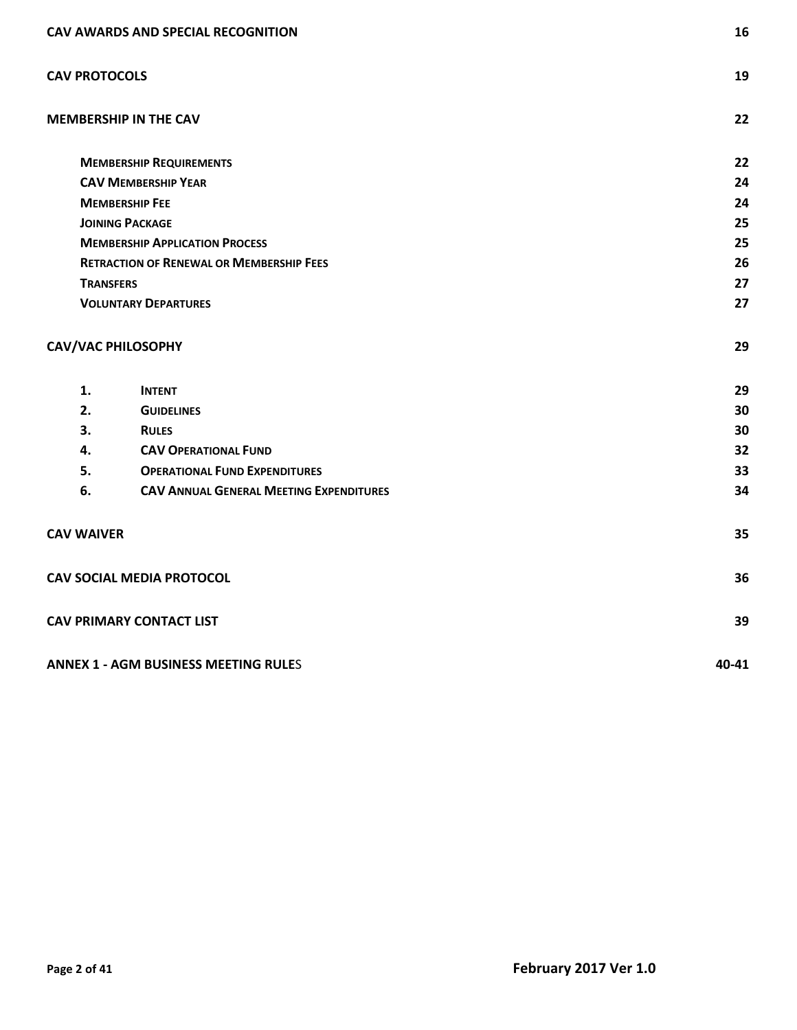| CAV AWARDS AND SPECIAL RECOGNITION          |                                                 | 16    |
|---------------------------------------------|-------------------------------------------------|-------|
| <b>CAV PROTOCOLS</b>                        |                                                 | 19    |
|                                             | <b>MEMBERSHIP IN THE CAV</b>                    | 22    |
|                                             | <b>MEMBERSHIP REQUIREMENTS</b>                  | 22    |
|                                             | <b>CAV MEMBERSHIP YEAR</b>                      | 24    |
| <b>MEMBERSHIP FEE</b>                       |                                                 | 24    |
| <b>JOINING PACKAGE</b>                      |                                                 | 25    |
|                                             | <b>MEMBERSHIP APPLICATION PROCESS</b>           | 25    |
|                                             | <b>RETRACTION OF RENEWAL OR MEMBERSHIP FEES</b> | 26    |
| <b>TRANSFERS</b>                            |                                                 | 27    |
|                                             | <b>VOLUNTARY DEPARTURES</b>                     | 27    |
| <b>CAV/VAC PHILOSOPHY</b>                   |                                                 | 29    |
| 1.                                          | <b>INTENT</b>                                   | 29    |
| 2.                                          | <b>GUIDELINES</b>                               | 30    |
| 3.                                          | <b>RULES</b>                                    | 30    |
| 4.                                          | <b>CAV OPERATIONAL FUND</b>                     | 32    |
| 5.                                          | <b>OPERATIONAL FUND EXPENDITURES</b>            | 33    |
| 6.                                          | <b>CAV ANNUAL GENERAL MEETING EXPENDITURES</b>  | 34    |
| <b>CAV WAIVER</b>                           |                                                 | 35    |
|                                             | <b>CAV SOCIAL MEDIA PROTOCOL</b>                | 36    |
| <b>CAV PRIMARY CONTACT LIST</b>             |                                                 | 39    |
| <b>ANNEX 1 - AGM BUSINESS MEETING RULES</b> |                                                 | 40-41 |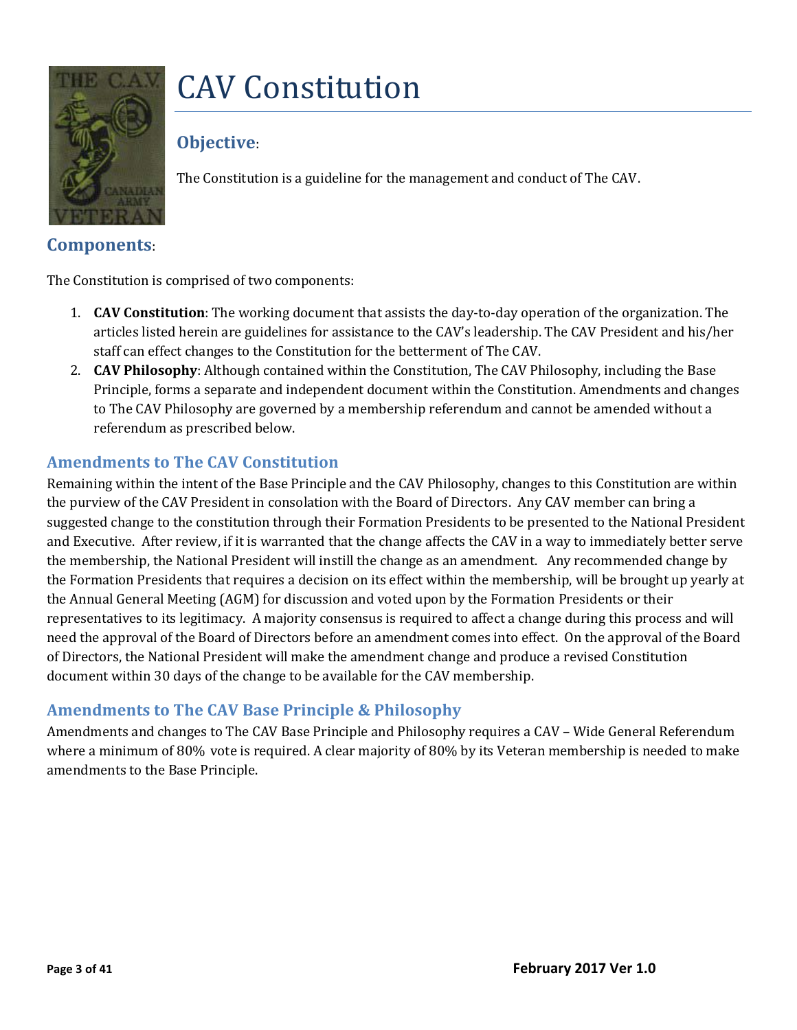# <span id="page-2-0"></span>CAV Constitution



# <span id="page-2-1"></span>**Objective**:

The Constitution is a guideline for the management and conduct of The CAV.

### <span id="page-2-2"></span>**Components**:

The Constitution is comprised of two components:

- 1. **CAV Constitution**: The working document that assists the day-to-day operation of the organization. The articles listed herein are guidelines for assistance to the CAV's leadership. The CAV President and his/her staff can effect changes to the Constitution for the betterment of The CAV.
- 2. **CAV Philosophy**: Although contained within the Constitution, The CAV Philosophy, including the Base Principle, forms a separate and independent document within the Constitution. Amendments and changes to The CAV Philosophy are governed by a membership referendum and cannot be amended without a referendum as prescribed below.

#### <span id="page-2-3"></span>**Amendments to The CAV Constitution**

Remaining within the intent of the Base Principle and the CAV Philosophy, changes to this Constitution are within the purview of the CAV President in consolation with the Board of Directors. Any CAV member can bring a suggested change to the constitution through their Formation Presidents to be presented to the National President and Executive. After review, if it is warranted that the change affects the CAV in a way to immediately better serve the membership, the National President will instill the change as an amendment. Any recommended change by the Formation Presidents that requires a decision on its effect within the membership, will be brought up yearly at the Annual General Meeting (AGM) for discussion and voted upon by the Formation Presidents or their representatives to its legitimacy. A majority consensus is required to affect a change during this process and will need the approval of the Board of Directors before an amendment comes into effect. On the approval of the Board of Directors, the National President will make the amendment change and produce a revised Constitution document within 30 days of the change to be available for the CAV membership.

#### <span id="page-2-4"></span>**Amendments to The CAV Base Principle & Philosophy**

Amendments and changes to The CAV Base Principle and Philosophy requires a CAV – Wide General Referendum where a minimum of 80% vote is required. A clear majority of 80% by its Veteran membership is needed to make amendments to the Base Principle.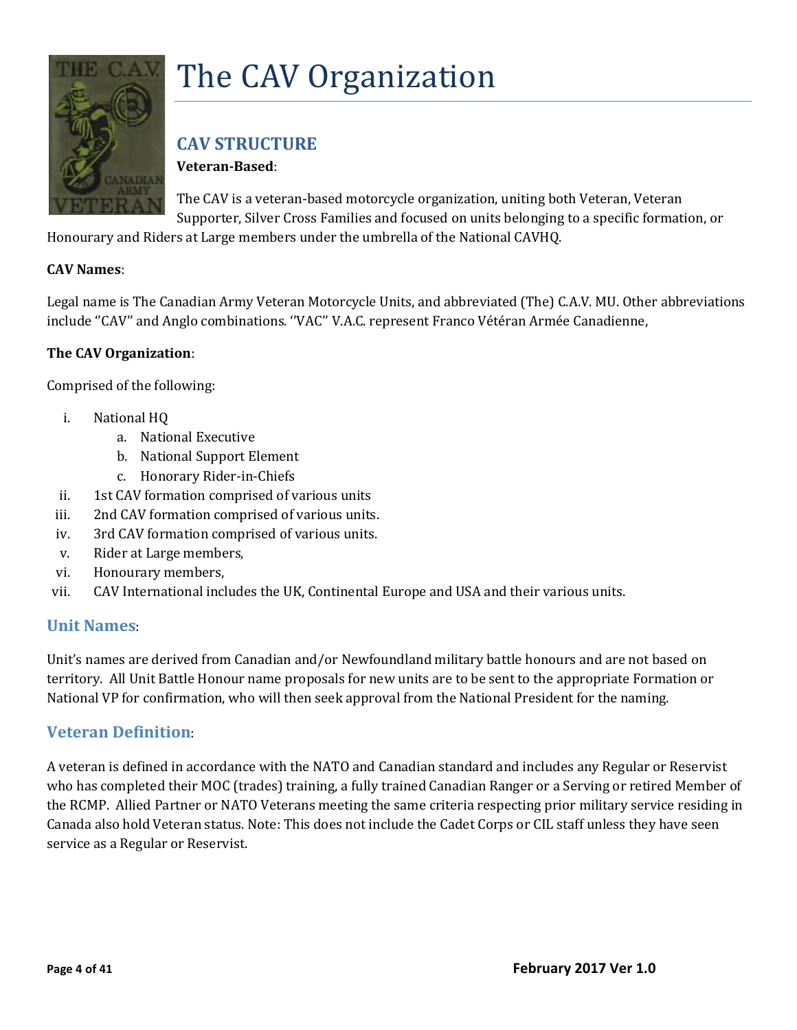

# <span id="page-3-0"></span>The CAV Organization

# <span id="page-3-1"></span>**CAV STRUCTURE**

**Veteran-Based**:

The CAV is a veteran-based motorcycle organization, uniting both Veteran, Veteran Supporter, Silver Cross Families and focused on units belonging to a specific formation, or

Honourary and Riders at Large members under the umbrella of the National CAVHQ.

#### **CAV Names**:

Legal name is The Canadian Army Veteran Motorcycle Units, and abbreviated (The) C.A.V. MU. Other abbreviations include ''CAV'' and Anglo combinations. ''VAC'' V.A.C. represent Franco Vétéran Armée Canadienne,

#### **The CAV Organization**:

Comprised of the following:

- i. National HQ
	- a. National Executive
	- b. National Support Element
	- c. Honorary Rider-in-Chiefs
- ii. 1st CAV formation comprised of various units
- iii. 2nd CAV formation comprised of various units.
- iv. 3rd CAV formation comprised of various units.
- v. Rider at Large members,
- vi. Honourary members,
- vii. CAV International includes the UK, Continental Europe and USA and their various units.

#### <span id="page-3-2"></span>**Unit Names**:

Unit's names are derived from Canadian and/or Newfoundland military battle honours and are not based on territory. All Unit Battle Honour name proposals for new units are to be sent to the appropriate Formation or National VP for confirmation, who will then seek approval from the National President for the naming.

#### <span id="page-3-3"></span>**Veteran Definition**:

A veteran is defined in accordance with the NATO and Canadian standard and includes any Regular or Reservist who has completed their MOC (trades) training, a fully trained Canadian Ranger or a Serving or retired Member of the RCMP. Allied Partner or NATO Veterans meeting the same criteria respecting prior military service residing in Canada also hold Veteran status. Note: This does not include the Cadet Corps or CIL staff unless they have seen service as a Regular or Reservist.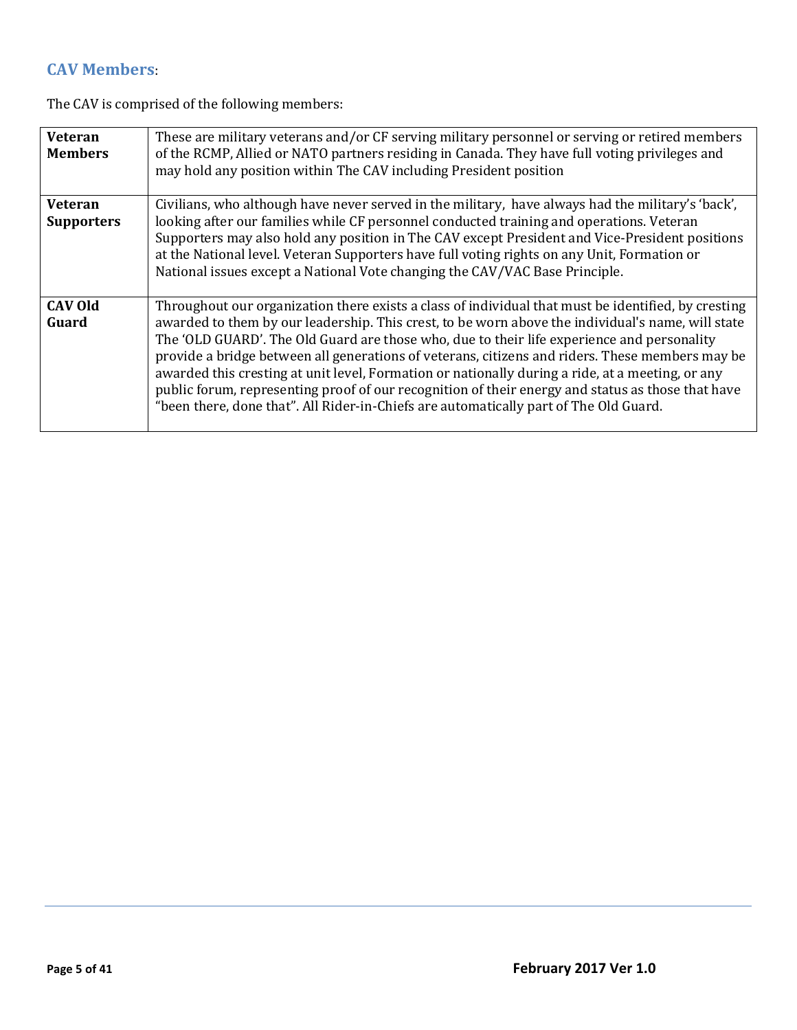# <span id="page-4-0"></span>**CAV Members**:

The CAV is comprised of the following members:

| <b>Veteran</b><br><b>Members</b> | These are military veterans and/or CF serving military personnel or serving or retired members<br>of the RCMP, Allied or NATO partners residing in Canada. They have full voting privileges and<br>may hold any position within The CAV including President position                                                                                                                                                                                                                                                                                                                                                                                                                                        |
|----------------------------------|-------------------------------------------------------------------------------------------------------------------------------------------------------------------------------------------------------------------------------------------------------------------------------------------------------------------------------------------------------------------------------------------------------------------------------------------------------------------------------------------------------------------------------------------------------------------------------------------------------------------------------------------------------------------------------------------------------------|
| Veteran<br><b>Supporters</b>     | Civilians, who although have never served in the military, have always had the military's 'back',<br>looking after our families while CF personnel conducted training and operations. Veteran<br>Supporters may also hold any position in The CAV except President and Vice-President positions<br>at the National level. Veteran Supporters have full voting rights on any Unit, Formation or<br>National issues except a National Vote changing the CAV/VAC Base Principle.                                                                                                                                                                                                                               |
| <b>CAV Old</b><br>Guard          | Throughout our organization there exists a class of individual that must be identified, by cresting<br>awarded to them by our leadership. This crest, to be worn above the individual's name, will state<br>The 'OLD GUARD'. The Old Guard are those who, due to their life experience and personality<br>provide a bridge between all generations of veterans, citizens and riders. These members may be<br>awarded this cresting at unit level, Formation or nationally during a ride, at a meeting, or any<br>public forum, representing proof of our recognition of their energy and status as those that have<br>"been there, done that". All Rider-in-Chiefs are automatically part of The Old Guard. |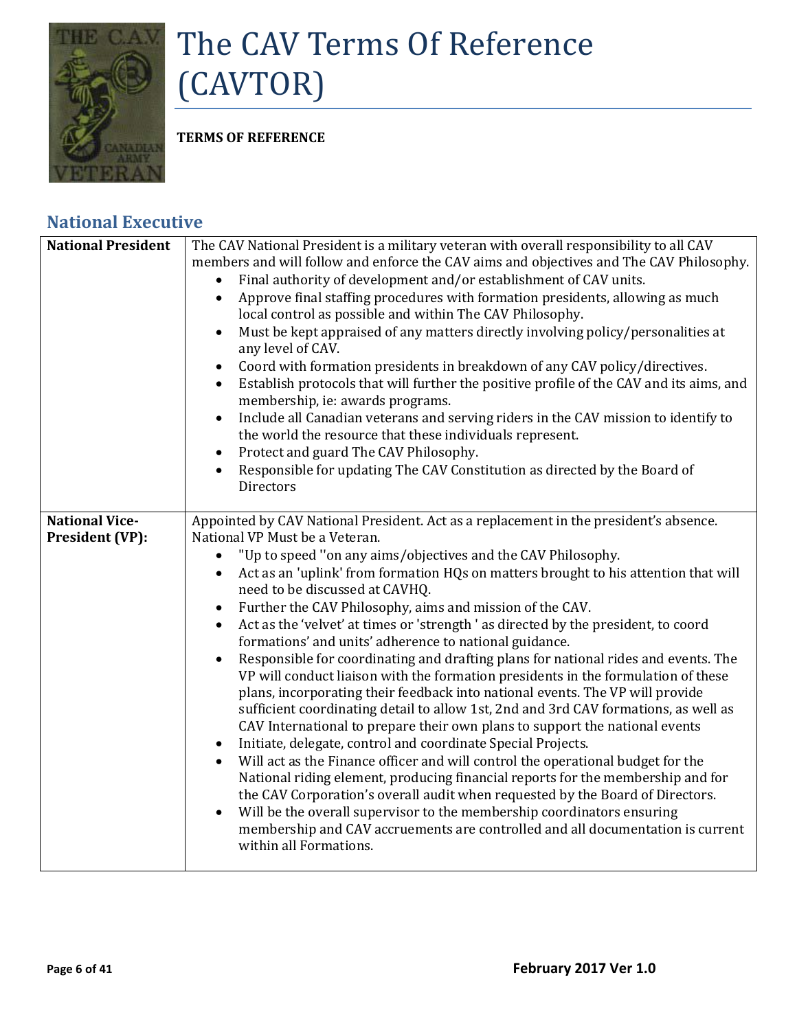

# <span id="page-5-0"></span>The CAV Terms Of Reference (CAVTOR)

**TERMS OF REFERENCE**

# <span id="page-5-1"></span>**National Executive**

| <b>National President</b>                | The CAV National President is a military veteran with overall responsibility to all CAV<br>members and will follow and enforce the CAV aims and objectives and The CAV Philosophy.<br>Final authority of development and/or establishment of CAV units.<br>Approve final staffing procedures with formation presidents, allowing as much<br>$\bullet$<br>local control as possible and within The CAV Philosophy.<br>Must be kept appraised of any matters directly involving policy/personalities at<br>any level of CAV.<br>Coord with formation presidents in breakdown of any CAV policy/directives.<br>Establish protocols that will further the positive profile of the CAV and its aims, and<br>membership, ie: awards programs.<br>Include all Canadian veterans and serving riders in the CAV mission to identify to<br>$\bullet$<br>the world the resource that these individuals represent.<br>Protect and guard The CAV Philosophy.<br>$\bullet$<br>Responsible for updating The CAV Constitution as directed by the Board of<br>$\bullet$<br><b>Directors</b>                                                                                                                                                                                                                                                                                                              |
|------------------------------------------|-----------------------------------------------------------------------------------------------------------------------------------------------------------------------------------------------------------------------------------------------------------------------------------------------------------------------------------------------------------------------------------------------------------------------------------------------------------------------------------------------------------------------------------------------------------------------------------------------------------------------------------------------------------------------------------------------------------------------------------------------------------------------------------------------------------------------------------------------------------------------------------------------------------------------------------------------------------------------------------------------------------------------------------------------------------------------------------------------------------------------------------------------------------------------------------------------------------------------------------------------------------------------------------------------------------------------------------------------------------------------------------------|
| <b>National Vice-</b><br>President (VP): | Appointed by CAV National President. Act as a replacement in the president's absence.<br>National VP Must be a Veteran.                                                                                                                                                                                                                                                                                                                                                                                                                                                                                                                                                                                                                                                                                                                                                                                                                                                                                                                                                                                                                                                                                                                                                                                                                                                                 |
|                                          | "Up to speed "on any aims/objectives and the CAV Philosophy.<br>$\bullet$<br>Act as an 'uplink' from formation HQs on matters brought to his attention that will<br>$\bullet$<br>need to be discussed at CAVHQ.<br>Further the CAV Philosophy, aims and mission of the CAV.<br>Act as the 'velvet' at times or 'strength ' as directed by the president, to coord<br>formations' and units' adherence to national guidance.<br>Responsible for coordinating and drafting plans for national rides and events. The<br>VP will conduct liaison with the formation presidents in the formulation of these<br>plans, incorporating their feedback into national events. The VP will provide<br>sufficient coordinating detail to allow 1st, 2nd and 3rd CAV formations, as well as<br>CAV International to prepare their own plans to support the national events<br>Initiate, delegate, control and coordinate Special Projects.<br>$\bullet$<br>Will act as the Finance officer and will control the operational budget for the<br>National riding element, producing financial reports for the membership and for<br>the CAV Corporation's overall audit when requested by the Board of Directors.<br>Will be the overall supervisor to the membership coordinators ensuring<br>membership and CAV accruements are controlled and all documentation is current<br>within all Formations. |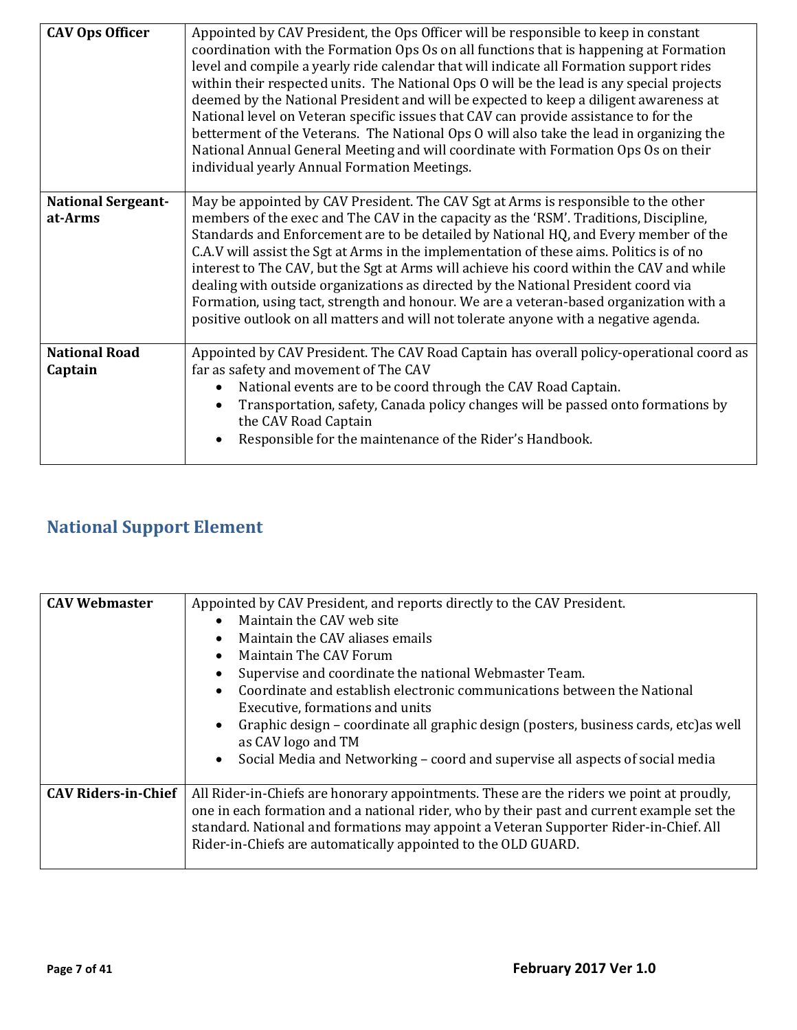| <b>CAV Ops Officer</b>    | Appointed by CAV President, the Ops Officer will be responsible to keep in constant<br>coordination with the Formation Ops Os on all functions that is happening at Formation<br>level and compile a yearly ride calendar that will indicate all Formation support rides<br>within their respected units. The National Ops O will be the lead is any special projects<br>deemed by the National President and will be expected to keep a diligent awareness at<br>National level on Veteran specific issues that CAV can provide assistance to for the<br>betterment of the Veterans. The National Ops O will also take the lead in organizing the<br>National Annual General Meeting and will coordinate with Formation Ops Os on their<br>individual yearly Annual Formation Meetings. |
|---------------------------|------------------------------------------------------------------------------------------------------------------------------------------------------------------------------------------------------------------------------------------------------------------------------------------------------------------------------------------------------------------------------------------------------------------------------------------------------------------------------------------------------------------------------------------------------------------------------------------------------------------------------------------------------------------------------------------------------------------------------------------------------------------------------------------|
| <b>National Sergeant-</b> | May be appointed by CAV President. The CAV Sgt at Arms is responsible to the other                                                                                                                                                                                                                                                                                                                                                                                                                                                                                                                                                                                                                                                                                                       |
| at-Arms                   | members of the exec and The CAV in the capacity as the 'RSM'. Traditions, Discipline,                                                                                                                                                                                                                                                                                                                                                                                                                                                                                                                                                                                                                                                                                                    |
|                           | Standards and Enforcement are to be detailed by National HQ, and Every member of the<br>C.A.V will assist the Sgt at Arms in the implementation of these aims. Politics is of no                                                                                                                                                                                                                                                                                                                                                                                                                                                                                                                                                                                                         |
|                           | interest to The CAV, but the Sgt at Arms will achieve his coord within the CAV and while                                                                                                                                                                                                                                                                                                                                                                                                                                                                                                                                                                                                                                                                                                 |
|                           | dealing with outside organizations as directed by the National President coord via                                                                                                                                                                                                                                                                                                                                                                                                                                                                                                                                                                                                                                                                                                       |
|                           | Formation, using tact, strength and honour. We are a veteran-based organization with a                                                                                                                                                                                                                                                                                                                                                                                                                                                                                                                                                                                                                                                                                                   |
|                           | positive outlook on all matters and will not tolerate anyone with a negative agenda.                                                                                                                                                                                                                                                                                                                                                                                                                                                                                                                                                                                                                                                                                                     |
| <b>National Road</b>      | Appointed by CAV President. The CAV Road Captain has overall policy-operational coord as                                                                                                                                                                                                                                                                                                                                                                                                                                                                                                                                                                                                                                                                                                 |
| Captain                   | far as safety and movement of The CAV                                                                                                                                                                                                                                                                                                                                                                                                                                                                                                                                                                                                                                                                                                                                                    |
|                           | National events are to be coord through the CAV Road Captain.                                                                                                                                                                                                                                                                                                                                                                                                                                                                                                                                                                                                                                                                                                                            |
|                           | Transportation, safety, Canada policy changes will be passed onto formations by                                                                                                                                                                                                                                                                                                                                                                                                                                                                                                                                                                                                                                                                                                          |
|                           | the CAV Road Captain                                                                                                                                                                                                                                                                                                                                                                                                                                                                                                                                                                                                                                                                                                                                                                     |
|                           | Responsible for the maintenance of the Rider's Handbook.                                                                                                                                                                                                                                                                                                                                                                                                                                                                                                                                                                                                                                                                                                                                 |
|                           |                                                                                                                                                                                                                                                                                                                                                                                                                                                                                                                                                                                                                                                                                                                                                                                          |

# <span id="page-6-0"></span>**National Support Element**

| <b>CAV Webmaster</b>       | Appointed by CAV President, and reports directly to the CAV President.<br>Maintain the CAV web site<br>Maintain the CAV aliases emails<br>Maintain The CAV Forum<br>Supervise and coordinate the national Webmaster Team.<br>Coordinate and establish electronic communications between the National<br>Executive, formations and units<br>Graphic design – coordinate all graphic design (posters, business cards, etc) as well<br>as CAV logo and TM<br>Social Media and Networking – coord and supervise all aspects of social media<br>$\bullet$ |
|----------------------------|------------------------------------------------------------------------------------------------------------------------------------------------------------------------------------------------------------------------------------------------------------------------------------------------------------------------------------------------------------------------------------------------------------------------------------------------------------------------------------------------------------------------------------------------------|
| <b>CAV Riders-in-Chief</b> | All Rider-in-Chiefs are honorary appointments. These are the riders we point at proudly,<br>one in each formation and a national rider, who by their past and current example set the<br>standard. National and formations may appoint a Veteran Supporter Rider-in-Chief. All<br>Rider-in-Chiefs are automatically appointed to the OLD GUARD.                                                                                                                                                                                                      |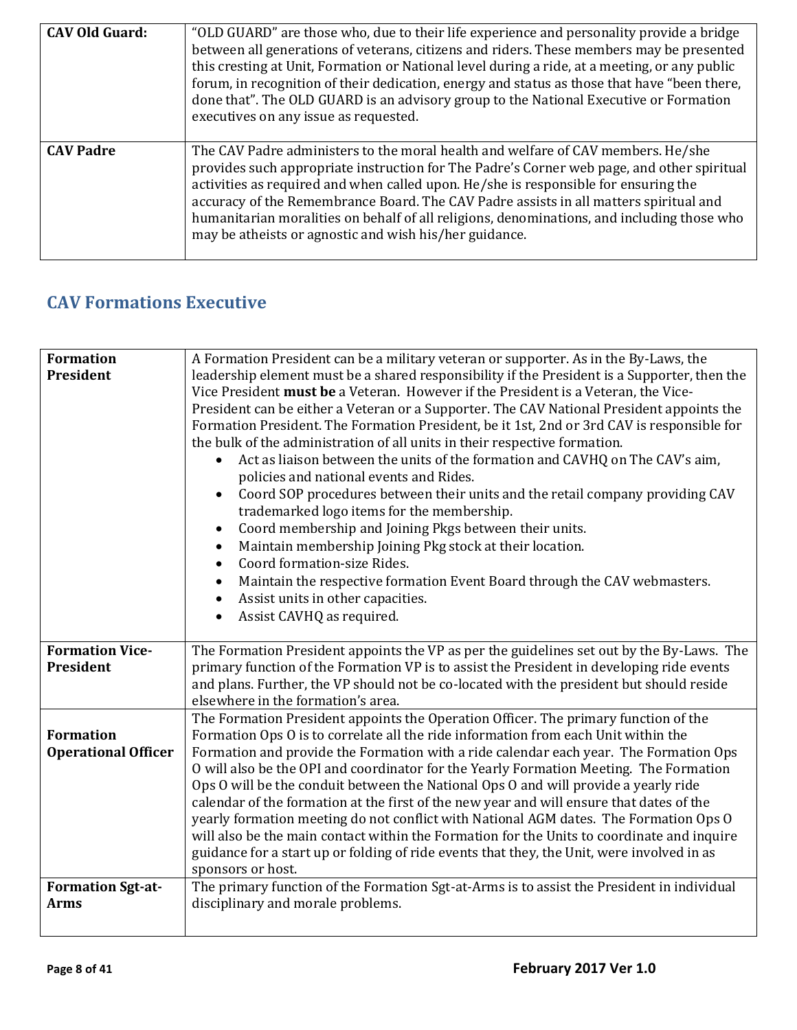| <b>CAV Old Guard:</b> | "OLD GUARD" are those who, due to their life experience and personality provide a bridge<br>between all generations of veterans, citizens and riders. These members may be presented<br>this cresting at Unit, Formation or National level during a ride, at a meeting, or any public<br>forum, in recognition of their dedication, energy and status as those that have "been there,<br>done that". The OLD GUARD is an advisory group to the National Executive or Formation<br>executives on any issue as requested. |
|-----------------------|-------------------------------------------------------------------------------------------------------------------------------------------------------------------------------------------------------------------------------------------------------------------------------------------------------------------------------------------------------------------------------------------------------------------------------------------------------------------------------------------------------------------------|
| <b>CAV Padre</b>      | The CAV Padre administers to the moral health and welfare of CAV members. He/she<br>provides such appropriate instruction for The Padre's Corner web page, and other spiritual<br>activities as required and when called upon. He/she is responsible for ensuring the<br>accuracy of the Remembrance Board. The CAV Padre assists in all matters spiritual and<br>humanitarian moralities on behalf of all religions, denominations, and including those who<br>may be atheists or agnostic and wish his/her guidance.  |

# <span id="page-7-0"></span>**CAV Formations Executive**

| <b>Formation</b>                        | A Formation President can be a military veteran or supporter. As in the By-Laws, the                                            |
|-----------------------------------------|---------------------------------------------------------------------------------------------------------------------------------|
| President                               | leadership element must be a shared responsibility if the President is a Supporter, then the                                    |
|                                         | Vice President must be a Veteran. However if the President is a Veteran, the Vice-                                              |
|                                         | President can be either a Veteran or a Supporter. The CAV National President appoints the                                       |
|                                         | Formation President. The Formation President, be it 1st, 2nd or 3rd CAV is responsible for                                      |
|                                         | the bulk of the administration of all units in their respective formation.                                                      |
|                                         | Act as liaison between the units of the formation and CAVHQ on The CAV's aim,                                                   |
|                                         | policies and national events and Rides.                                                                                         |
|                                         | Coord SOP procedures between their units and the retail company providing CAV                                                   |
|                                         | trademarked logo items for the membership.                                                                                      |
|                                         | Coord membership and Joining Pkgs between their units.<br>$\bullet$                                                             |
|                                         | Maintain membership Joining Pkg stock at their location.                                                                        |
|                                         | Coord formation-size Rides.                                                                                                     |
|                                         |                                                                                                                                 |
|                                         | Maintain the respective formation Event Board through the CAV webmasters.                                                       |
|                                         | Assist units in other capacities.<br>$\bullet$                                                                                  |
|                                         | Assist CAVHQ as required.                                                                                                       |
| <b>Formation Vice-</b>                  | The Formation President appoints the VP as per the guidelines set out by the By-Laws. The                                       |
| President                               | primary function of the Formation VP is to assist the President in developing ride events                                       |
|                                         | and plans. Further, the VP should not be co-located with the president but should reside                                        |
|                                         |                                                                                                                                 |
|                                         |                                                                                                                                 |
|                                         | elsewhere in the formation's area.                                                                                              |
|                                         | The Formation President appoints the Operation Officer. The primary function of the                                             |
| <b>Formation</b>                        | Formation Ops O is to correlate all the ride information from each Unit within the                                              |
| <b>Operational Officer</b>              | Formation and provide the Formation with a ride calendar each year. The Formation Ops                                           |
|                                         | O will also be the OPI and coordinator for the Yearly Formation Meeting. The Formation                                          |
|                                         | Ops O will be the conduit between the National Ops O and will provide a yearly ride                                             |
|                                         | calendar of the formation at the first of the new year and will ensure that dates of the                                        |
|                                         | yearly formation meeting do not conflict with National AGM dates. The Formation Ops O                                           |
|                                         | will also be the main contact within the Formation for the Units to coordinate and inquire                                      |
|                                         | guidance for a start up or folding of ride events that they, the Unit, were involved in as                                      |
|                                         | sponsors or host.                                                                                                               |
| <b>Formation Sgt-at-</b><br><b>Arms</b> | The primary function of the Formation Sgt-at-Arms is to assist the President in individual<br>disciplinary and morale problems. |
|                                         |                                                                                                                                 |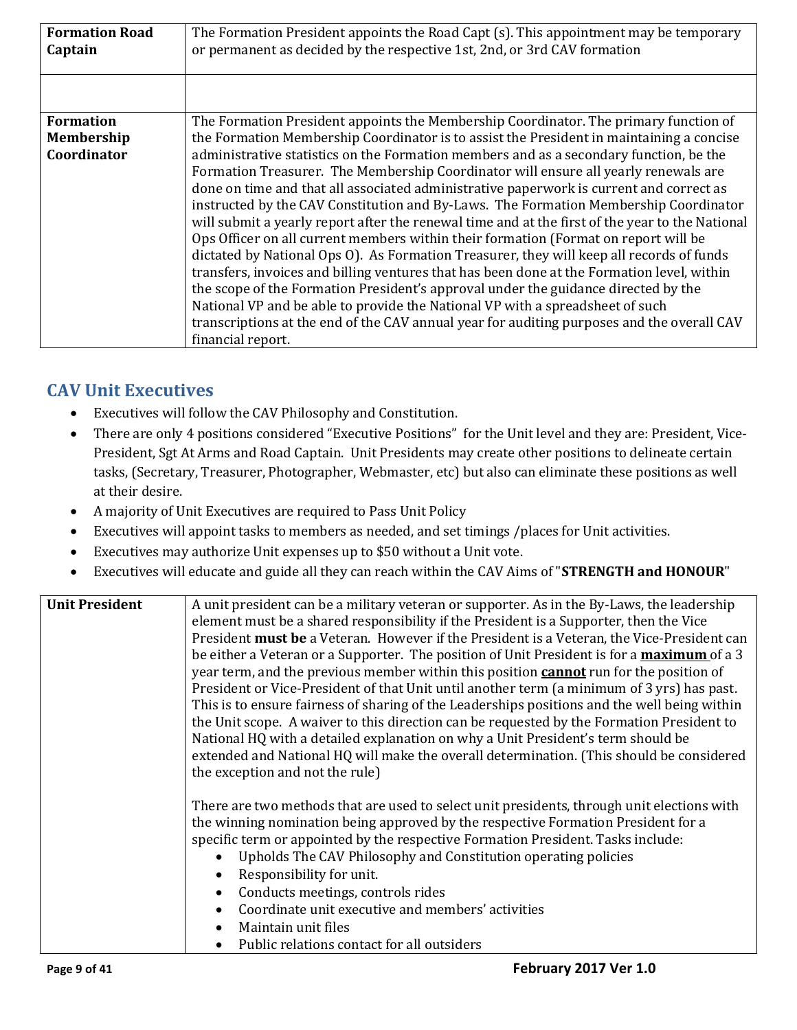| <b>Formation Road</b><br>Captain | The Formation President appoints the Road Capt (s). This appointment may be temporary<br>or permanent as decided by the respective 1st, 2nd, or 3rd CAV formation                                                                                                                                                                                                                                                                                                                                                                                                                                                                                                                                                                                                                                                                                                                                                                                                                                                                              |
|----------------------------------|------------------------------------------------------------------------------------------------------------------------------------------------------------------------------------------------------------------------------------------------------------------------------------------------------------------------------------------------------------------------------------------------------------------------------------------------------------------------------------------------------------------------------------------------------------------------------------------------------------------------------------------------------------------------------------------------------------------------------------------------------------------------------------------------------------------------------------------------------------------------------------------------------------------------------------------------------------------------------------------------------------------------------------------------|
|                                  |                                                                                                                                                                                                                                                                                                                                                                                                                                                                                                                                                                                                                                                                                                                                                                                                                                                                                                                                                                                                                                                |
| <b>Formation</b>                 | The Formation President appoints the Membership Coordinator. The primary function of                                                                                                                                                                                                                                                                                                                                                                                                                                                                                                                                                                                                                                                                                                                                                                                                                                                                                                                                                           |
| Membership                       | the Formation Membership Coordinator is to assist the President in maintaining a concise                                                                                                                                                                                                                                                                                                                                                                                                                                                                                                                                                                                                                                                                                                                                                                                                                                                                                                                                                       |
| Coordinator                      | administrative statistics on the Formation members and as a secondary function, be the<br>Formation Treasurer. The Membership Coordinator will ensure all yearly renewals are<br>done on time and that all associated administrative paperwork is current and correct as<br>instructed by the CAV Constitution and By-Laws. The Formation Membership Coordinator<br>will submit a yearly report after the renewal time and at the first of the year to the National<br>Ops Officer on all current members within their formation (Format on report will be<br>dictated by National Ops O). As Formation Treasurer, they will keep all records of funds<br>transfers, invoices and billing ventures that has been done at the Formation level, within<br>the scope of the Formation President's approval under the guidance directed by the<br>National VP and be able to provide the National VP with a spreadsheet of such<br>transcriptions at the end of the CAV annual year for auditing purposes and the overall CAV<br>financial report. |

# <span id="page-8-0"></span>**CAV Unit Executives**

- Executives will follow the CAV Philosophy and Constitution.
- There are only 4 positions considered "Executive Positions" for the Unit level and they are: President, Vice-President, Sgt At Arms and Road Captain. Unit Presidents may create other positions to delineate certain tasks, (Secretary, Treasurer, Photographer, Webmaster, etc) but also can eliminate these positions as well at their desire.
- A majority of Unit Executives are required to Pass Unit Policy
- Executives will appoint tasks to members as needed, and set timings /places for Unit activities.
- Executives may authorize Unit expenses up to \$50 without a Unit vote.
- Executives will educate and guide all they can reach within the CAV Aims of "**STRENGTH and HONOUR**"

| <b>Unit President</b> | A unit president can be a military veteran or supporter. As in the By-Laws, the leadership    |
|-----------------------|-----------------------------------------------------------------------------------------------|
|                       | element must be a shared responsibility if the President is a Supporter, then the Vice        |
|                       | President must be a Veteran. However if the President is a Veteran, the Vice-President can    |
|                       | be either a Veteran or a Supporter. The position of Unit President is for a maximum of a 3    |
|                       | year term, and the previous member within this position <b>cannot</b> run for the position of |
|                       | President or Vice-President of that Unit until another term (a minimum of 3 yrs) has past.    |
|                       | This is to ensure fairness of sharing of the Leaderships positions and the well being within  |
|                       | the Unit scope. A waiver to this direction can be requested by the Formation President to     |
|                       | National HQ with a detailed explanation on why a Unit President's term should be              |
|                       | extended and National HQ will make the overall determination. (This should be considered      |
|                       | the exception and not the rule)                                                               |
|                       |                                                                                               |
|                       | There are two methods that are used to select unit presidents, through unit elections with    |
|                       | the winning nomination being approved by the respective Formation President for a             |
|                       | specific term or appointed by the respective Formation President. Tasks include:              |
|                       | Upholds The CAV Philosophy and Constitution operating policies                                |
|                       | Responsibility for unit.                                                                      |
|                       | Conducts meetings, controls rides                                                             |
|                       | Coordinate unit executive and members' activities                                             |
|                       | Maintain unit files                                                                           |
|                       | Public relations contact for all outsiders                                                    |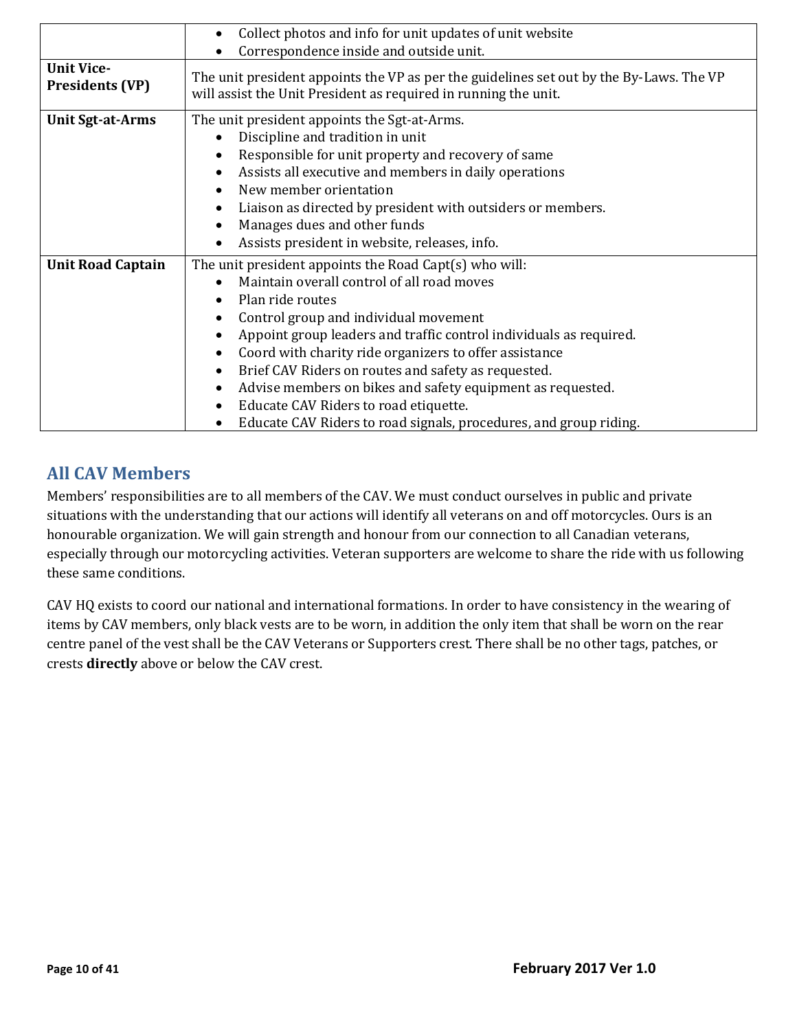|                                             | Collect photos and info for unit updates of unit website<br>$\bullet$<br>Correspondence inside and outside unit.                                                                                                                                                                                                                                                                                                                                                                                                                     |
|---------------------------------------------|--------------------------------------------------------------------------------------------------------------------------------------------------------------------------------------------------------------------------------------------------------------------------------------------------------------------------------------------------------------------------------------------------------------------------------------------------------------------------------------------------------------------------------------|
| <b>Unit Vice-</b><br><b>Presidents (VP)</b> | The unit president appoints the VP as per the guidelines set out by the By-Laws. The VP<br>will assist the Unit President as required in running the unit.                                                                                                                                                                                                                                                                                                                                                                           |
| <b>Unit Sgt-at-Arms</b>                     | The unit president appoints the Sgt-at-Arms.<br>Discipline and tradition in unit<br>Responsible for unit property and recovery of same<br>Assists all executive and members in daily operations<br>New member orientation<br>Liaison as directed by president with outsiders or members.<br>Manages dues and other funds<br>Assists president in website, releases, info.                                                                                                                                                            |
| <b>Unit Road Captain</b>                    | The unit president appoints the Road Capt(s) who will:<br>Maintain overall control of all road moves<br>Plan ride routes<br>Control group and individual movement<br>Appoint group leaders and traffic control individuals as required.<br>Coord with charity ride organizers to offer assistance<br>Brief CAV Riders on routes and safety as requested.<br>Advise members on bikes and safety equipment as requested.<br>Educate CAV Riders to road etiquette.<br>Educate CAV Riders to road signals, procedures, and group riding. |

# <span id="page-9-0"></span>**All CAV Members**

Members' responsibilities are to all members of the CAV. We must conduct ourselves in public and private situations with the understanding that our actions will identify all veterans on and off motorcycles. Ours is an honourable organization. We will gain strength and honour from our connection to all Canadian veterans, especially through our motorcycling activities. Veteran supporters are welcome to share the ride with us following these same conditions.

CAV HQ exists to coord our national and international formations. In order to have consistency in the wearing of items by CAV members, only black vests are to be worn, in addition the only item that shall be worn on the rear centre panel of the vest shall be the CAV Veterans or Supporters crest. There shall be no other tags, patches, or crests **directly** above or below the CAV crest.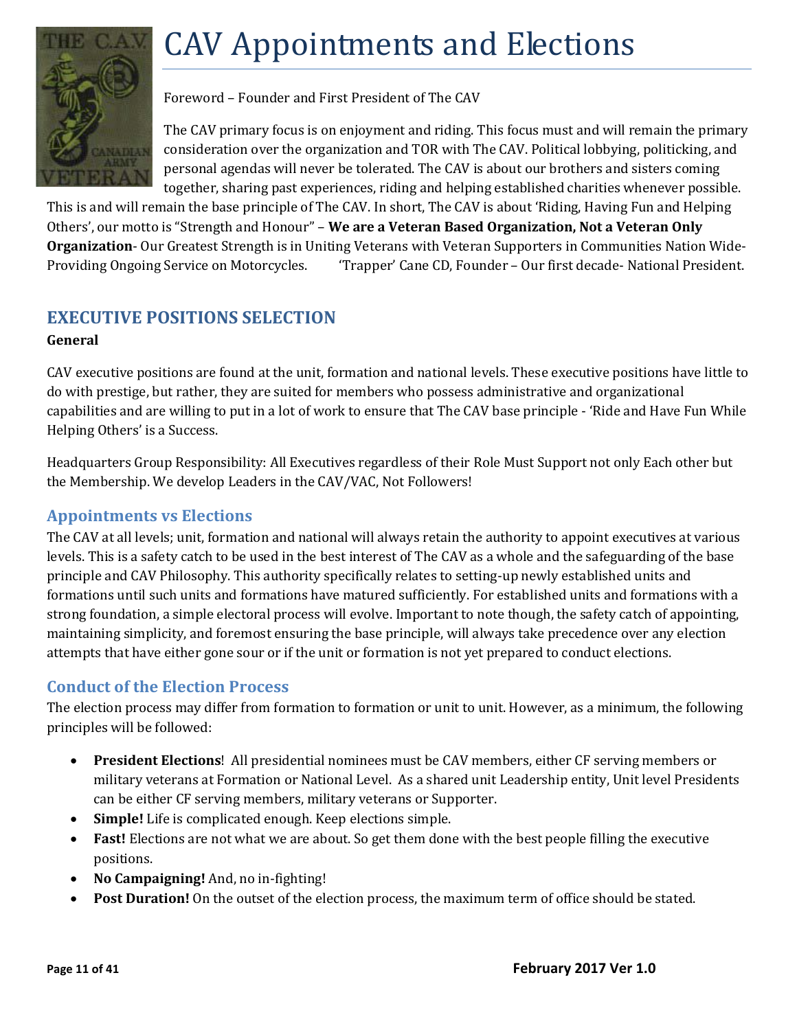# <span id="page-10-0"></span>CAV Appointments and Elections



Foreword – Founder and First President of The CAV

The CAV primary focus is on enjoyment and riding. This focus must and will remain the primary consideration over the organization and TOR with The CAV. Political lobbying, politicking, and personal agendas will never be tolerated. The CAV is about our brothers and sisters coming together, sharing past experiences, riding and helping established charities whenever possible.

This is and will remain the base principle of The CAV. In short, The CAV is about 'Riding, Having Fun and Helping Others', our motto is "Strength and Honour" – **We are a Veteran Based Organization, Not a Veteran Only Organization**- Our Greatest Strength is in Uniting Veterans with Veteran Supporters in Communities Nation Wide-Providing Ongoing Service on Motorcycles. 'Trapper' Cane CD, Founder – Our first decade- National President.

# <span id="page-10-1"></span>**EXECUTIVE POSITIONS SELECTION**

#### **General**

CAV executive positions are found at the unit, formation and national levels. These executive positions have little to do with prestige, but rather, they are suited for members who possess administrative and organizational capabilities and are willing to put in a lot of work to ensure that The CAV base principle - 'Ride and Have Fun While Helping Others' is a Success.

Headquarters Group Responsibility: All Executives regardless of their Role Must Support not only Each other but the Membership. We develop Leaders in the CAV/VAC, Not Followers!

#### <span id="page-10-2"></span>**Appointments vs Elections**

The CAV at all levels; unit, formation and national will always retain the authority to appoint executives at various levels. This is a safety catch to be used in the best interest of The CAV as a whole and the safeguarding of the base principle and CAV Philosophy. This authority specifically relates to setting-up newly established units and formations until such units and formations have matured sufficiently. For established units and formations with a strong foundation, a simple electoral process will evolve. Important to note though, the safety catch of appointing, maintaining simplicity, and foremost ensuring the base principle, will always take precedence over any election attempts that have either gone sour or if the unit or formation is not yet prepared to conduct elections.

#### <span id="page-10-3"></span>**Conduct of the Election Process**

The election process may differ from formation to formation or unit to unit. However, as a minimum, the following principles will be followed:

- **President Elections**! All presidential nominees must be CAV members, either CF serving members or military veterans at Formation or National Level. As a shared unit Leadership entity, Unit level Presidents can be either CF serving members, military veterans or Supporter.
- **Simple!** Life is complicated enough. Keep elections simple.
- **Fast!** Elections are not what we are about. So get them done with the best people filling the executive positions.
- **No Campaigning!** And, no in-fighting!
- **Post Duration!** On the outset of the election process, the maximum term of office should be stated.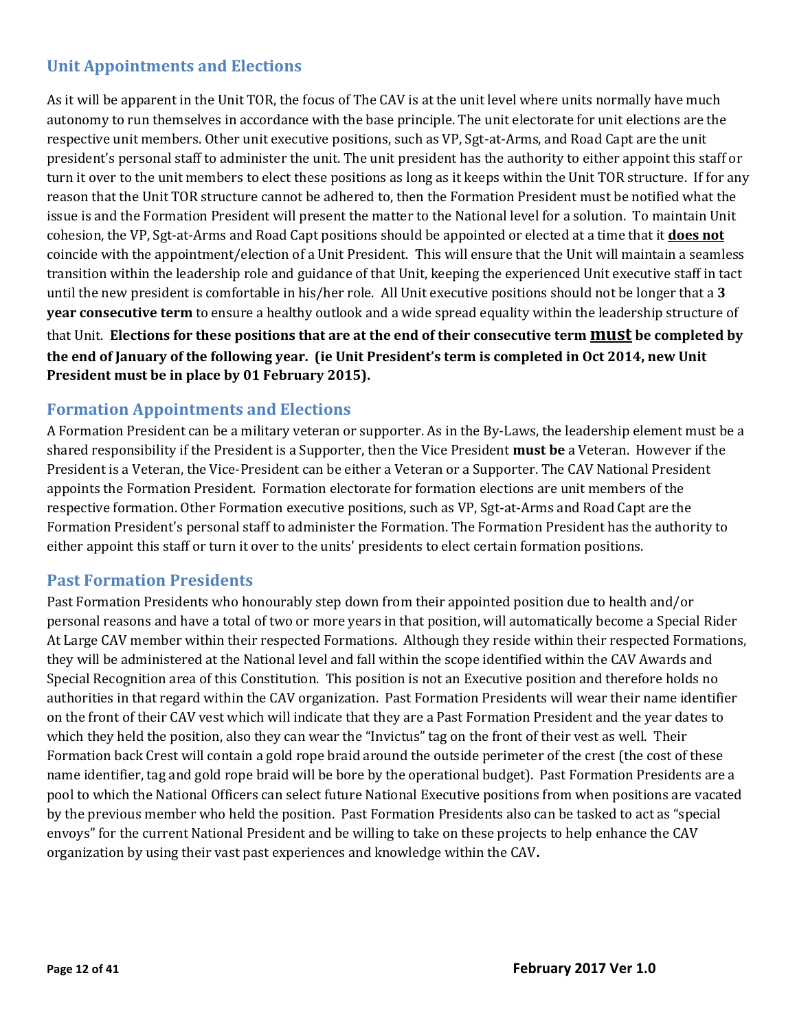### <span id="page-11-0"></span>**Unit Appointments and Elections**

As it will be apparent in the Unit TOR, the focus of The CAV is at the unit level where units normally have much autonomy to run themselves in accordance with the base principle. The unit electorate for unit elections are the respective unit members. Other unit executive positions, such as VP, Sgt-at-Arms, and Road Capt are the unit president's personal staff to administer the unit. The unit president has the authority to either appoint this staff or turn it over to the unit members to elect these positions as long as it keeps within the Unit TOR structure. If for any reason that the Unit TOR structure cannot be adhered to, then the Formation President must be notified what the issue is and the Formation President will present the matter to the National level for a solution. To maintain Unit cohesion, the VP, Sgt-at-Arms and Road Capt positions should be appointed or elected at a time that it **does not** coincide with the appointment/election of a Unit President. This will ensure that the Unit will maintain a seamless transition within the leadership role and guidance of that Unit, keeping the experienced Unit executive staff in tact until the new president is comfortable in his/her role. All Unit executive positions should not be longer that a **3 year consecutive term** to ensure a healthy outlook and a wide spread equality within the leadership structure of

that Unit. **Elections for these positions that are at the end of their consecutive term must be completed by the end of January of the following year. (ie Unit President's term is completed in Oct 2014, new Unit President must be in place by 01 February 2015).**

#### <span id="page-11-1"></span>**Formation Appointments and Elections**

A Formation President can be a military veteran or supporter. As in the By-Laws, the leadership element must be a shared responsibility if the President is a Supporter, then the Vice President **must be** a Veteran. However if the President is a Veteran, the Vice-President can be either a Veteran or a Supporter. The CAV National President appoints the Formation President. Formation electorate for formation elections are unit members of the respective formation. Other Formation executive positions, such as VP, Sgt-at-Arms and Road Capt are the Formation President's personal staff to administer the Formation. The Formation President has the authority to either appoint this staff or turn it over to the units' presidents to elect certain formation positions.

#### <span id="page-11-2"></span>**Past Formation Presidents**

Past Formation Presidents who honourably step down from their appointed position due to health and/or personal reasons and have a total of two or more years in that position, will automatically become a Special Rider At Large CAV member within their respected Formations. Although they reside within their respected Formations, they will be administered at the National level and fall within the scope identified within the CAV Awards and Special Recognition area of this Constitution. This position is not an Executive position and therefore holds no authorities in that regard within the CAV organization. Past Formation Presidents will wear their name identifier on the front of their CAV vest which will indicate that they are a Past Formation President and the year dates to which they held the position, also they can wear the "Invictus" tag on the front of their vest as well. Their Formation back Crest will contain a gold rope braid around the outside perimeter of the crest (the cost of these name identifier, tag and gold rope braid will be bore by the operational budget). Past Formation Presidents are a pool to which the National Officers can select future National Executive positions from when positions are vacated by the previous member who held the position. Past Formation Presidents also can be tasked to act as "special envoys" for the current National President and be willing to take on these projects to help enhance the CAV organization by using their vast past experiences and knowledge within the CAV**.**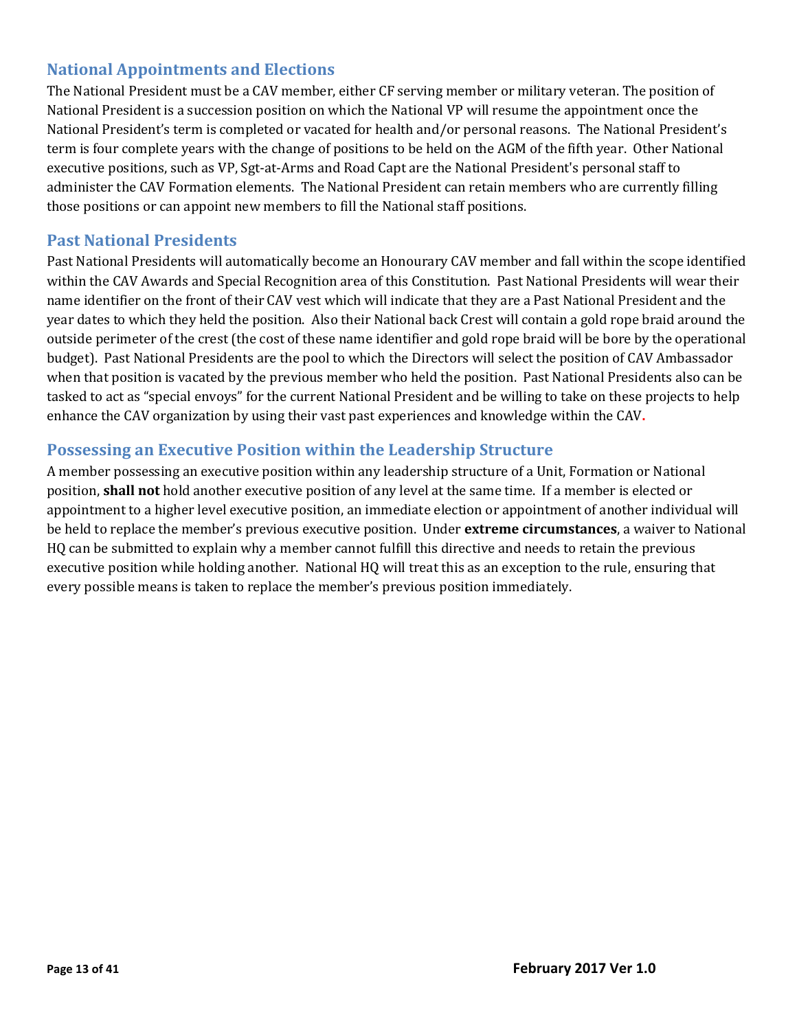#### <span id="page-12-0"></span>**National Appointments and Elections**

The National President must be a CAV member, either CF serving member or military veteran. The position of National President is a succession position on which the National VP will resume the appointment once the National President's term is completed or vacated for health and/or personal reasons. The National President's term is four complete years with the change of positions to be held on the AGM of the fifth year. Other National executive positions, such as VP, Sgt-at-Arms and Road Capt are the National President's personal staff to administer the CAV Formation elements. The National President can retain members who are currently filling those positions or can appoint new members to fill the National staff positions.

#### <span id="page-12-1"></span>**Past National Presidents**

Past National Presidents will automatically become an Honourary CAV member and fall within the scope identified within the CAV Awards and Special Recognition area of this Constitution. Past National Presidents will wear their name identifier on the front of their CAV vest which will indicate that they are a Past National President and the year dates to which they held the position. Also their National back Crest will contain a gold rope braid around the outside perimeter of the crest (the cost of these name identifier and gold rope braid will be bore by the operational budget). Past National Presidents are the pool to which the Directors will select the position of CAV Ambassador when that position is vacated by the previous member who held the position. Past National Presidents also can be tasked to act as "special envoys" for the current National President and be willing to take on these projects to help enhance the CAV organization by using their vast past experiences and knowledge within the CAV**.**

#### <span id="page-12-2"></span>**Possessing an Executive Position within the Leadership Structure**

A member possessing an executive position within any leadership structure of a Unit, Formation or National position, **shall not** hold another executive position of any level at the same time. If a member is elected or appointment to a higher level executive position, an immediate election or appointment of another individual will be held to replace the member's previous executive position. Under **extreme circumstances**, a waiver to National HQ can be submitted to explain why a member cannot fulfill this directive and needs to retain the previous executive position while holding another. National HQ will treat this as an exception to the rule, ensuring that every possible means is taken to replace the member's previous position immediately.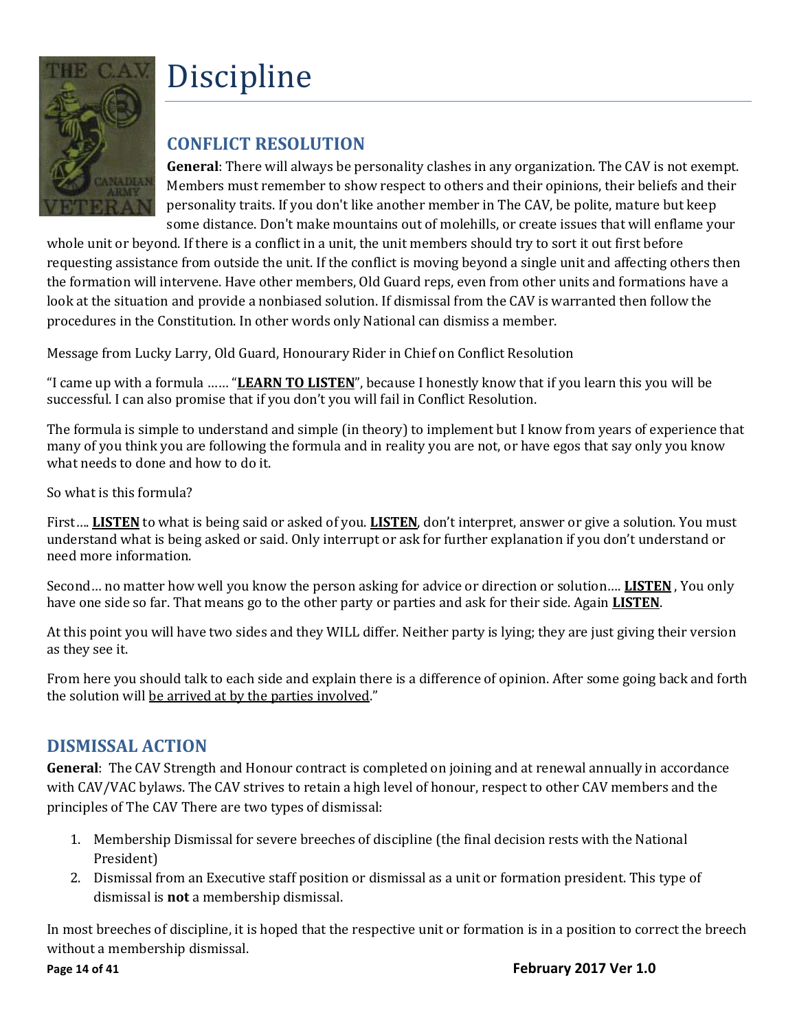

# <span id="page-13-0"></span>Discipline

# <span id="page-13-1"></span>**CONFLICT RESOLUTION**

**General**: There will always be personality clashes in any organization. The CAV is not exempt. Members must remember to show respect to others and their opinions, their beliefs and their personality traits. If you don't like another member in The CAV, be polite, mature but keep some distance. Don't make mountains out of molehills, or create issues that will enflame your

whole unit or beyond. If there is a conflict in a unit, the unit members should try to sort it out first before requesting assistance from outside the unit. If the conflict is moving beyond a single unit and affecting others then the formation will intervene. Have other members, Old Guard reps, even from other units and formations have a look at the situation and provide a nonbiased solution. If dismissal from the CAV is warranted then follow the procedures in the Constitution. In other words only National can dismiss a member.

Message from Lucky Larry, Old Guard, Honourary Rider in Chief on Conflict Resolution

"I came up with a formula …… "**LEARN TO LISTEN**", because I honestly know that if you learn this you will be successful. I can also promise that if you don't you will fail in Conflict Resolution.

The formula is simple to understand and simple (in theory) to implement but I know from years of experience that many of you think you are following the formula and in reality you are not, or have egos that say only you know what needs to done and how to do it.

So what is this formula?

First…. **LISTEN** to what is being said or asked of you. **LISTEN**, don't interpret, answer or give a solution. You must understand what is being asked or said. Only interrupt or ask for further explanation if you don't understand or need more information.

Second… no matter how well you know the person asking for advice or direction or solution…. **LISTEN** , You only have one side so far. That means go to the other party or parties and ask for their side. Again **LISTEN**.

At this point you will have two sides and they WILL differ. Neither party is lying; they are just giving their version as they see it.

From here you should talk to each side and explain there is a difference of opinion. After some going back and forth the solution will be arrived at by the parties involved."

# <span id="page-13-2"></span>**DISMISSAL ACTION**

**General**: The CAV Strength and Honour contract is completed on joining and at renewal annually in accordance with CAV/VAC bylaws. The CAV strives to retain a high level of honour, respect to other CAV members and the principles of The CAV There are two types of dismissal:

- 1. Membership Dismissal for severe breeches of discipline (the final decision rests with the National President)
- 2. Dismissal from an Executive staff position or dismissal as a unit or formation president. This type of dismissal is **not** a membership dismissal.

In most breeches of discipline, it is hoped that the respective unit or formation is in a position to correct the breech without a membership dismissal.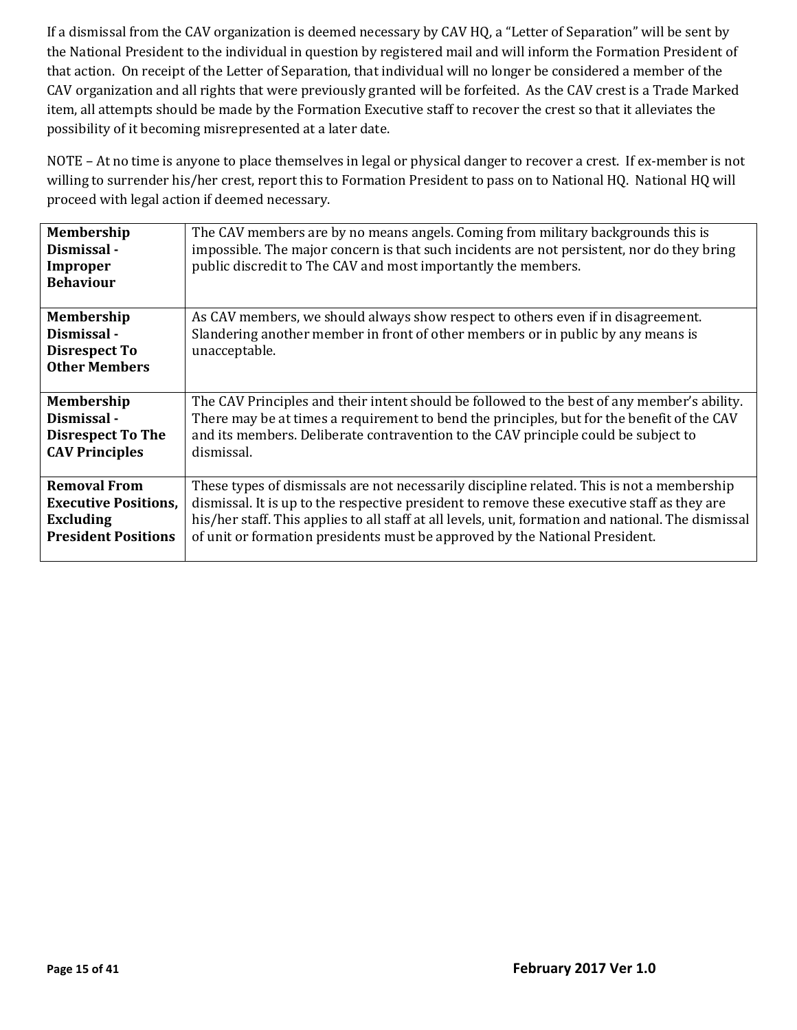If a dismissal from the CAV organization is deemed necessary by CAV HQ, a "Letter of Separation" will be sent by the National President to the individual in question by registered mail and will inform the Formation President of that action. On receipt of the Letter of Separation, that individual will no longer be considered a member of the CAV organization and all rights that were previously granted will be forfeited. As the CAV crest is a Trade Marked item, all attempts should be made by the Formation Executive staff to recover the crest so that it alleviates the possibility of it becoming misrepresented at a later date.

NOTE – At no time is anyone to place themselves in legal or physical danger to recover a crest. If ex-member is not willing to surrender his/her crest, report this to Formation President to pass on to National HQ. National HQ will proceed with legal action if deemed necessary.

| Membership<br>Dismissal -<br>Improper<br><b>Behaviour</b>                        | The CAV members are by no means angels. Coming from military backgrounds this is<br>impossible. The major concern is that such incidents are not persistent, nor do they bring<br>public discredit to The CAV and most importantly the members. |
|----------------------------------------------------------------------------------|-------------------------------------------------------------------------------------------------------------------------------------------------------------------------------------------------------------------------------------------------|
| <b>Membership</b><br>Dismissal -<br><b>Disrespect To</b><br><b>Other Members</b> | As CAV members, we should always show respect to others even if in disagreement.<br>Slandering another member in front of other members or in public by any means is<br>unacceptable.                                                           |
| <b>Membership</b>                                                                | The CAV Principles and their intent should be followed to the best of any member's ability.                                                                                                                                                     |
| Dismissal -                                                                      | There may be at times a requirement to bend the principles, but for the benefit of the CAV                                                                                                                                                      |
| <b>Disrespect To The</b>                                                         | and its members. Deliberate contravention to the CAV principle could be subject to                                                                                                                                                              |
| <b>CAV Principles</b>                                                            | dismissal.                                                                                                                                                                                                                                      |
| <b>Removal From</b>                                                              | These types of dismissals are not necessarily discipline related. This is not a membership                                                                                                                                                      |
| <b>Executive Positions,</b>                                                      | dismissal. It is up to the respective president to remove these executive staff as they are                                                                                                                                                     |
| <b>Excluding</b>                                                                 | his/her staff. This applies to all staff at all levels, unit, formation and national. The dismissal                                                                                                                                             |
| <b>President Positions</b>                                                       | of unit or formation presidents must be approved by the National President.                                                                                                                                                                     |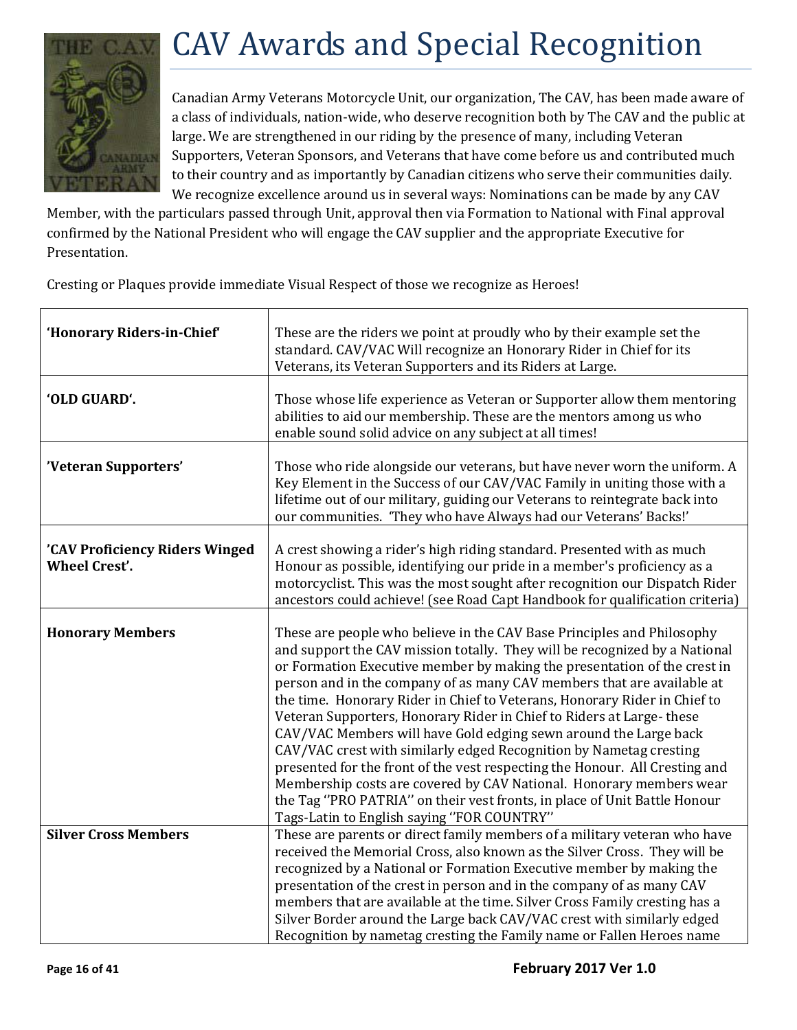

# <span id="page-15-0"></span>CAV Awards and Special Recognition

Canadian Army Veterans Motorcycle Unit, our organization, The CAV, has been made aware of a class of individuals, nation-wide, who deserve recognition both by The CAV and the public at large. We are strengthened in our riding by the presence of many, including Veteran Supporters, Veteran Sponsors, and Veterans that have come before us and contributed much to their country and as importantly by Canadian citizens who serve their communities daily. We recognize excellence around us in several ways: Nominations can be made by any CAV

Member, with the particulars passed through Unit, approval then via Formation to National with Final approval confirmed by the National President who will engage the CAV supplier and the appropriate Executive for Presentation.

Cresting or Plaques provide immediate Visual Respect of those we recognize as Heroes!

| 'Honorary Riders-in-Chief'                             | These are the riders we point at proudly who by their example set the<br>standard. CAV/VAC Will recognize an Honorary Rider in Chief for its<br>Veterans, its Veteran Supporters and its Riders at Large.                                                                                                                                                                                                                                                                                                                                                                                                                                                                                                                                                                                                                                                                                  |  |  |
|--------------------------------------------------------|--------------------------------------------------------------------------------------------------------------------------------------------------------------------------------------------------------------------------------------------------------------------------------------------------------------------------------------------------------------------------------------------------------------------------------------------------------------------------------------------------------------------------------------------------------------------------------------------------------------------------------------------------------------------------------------------------------------------------------------------------------------------------------------------------------------------------------------------------------------------------------------------|--|--|
| 'OLD GUARD'.                                           | Those whose life experience as Veteran or Supporter allow them mentoring<br>abilities to aid our membership. These are the mentors among us who<br>enable sound solid advice on any subject at all times!                                                                                                                                                                                                                                                                                                                                                                                                                                                                                                                                                                                                                                                                                  |  |  |
| 'Veteran Supporters'                                   | Those who ride alongside our veterans, but have never worn the uniform. A<br>Key Element in the Success of our CAV/VAC Family in uniting those with a<br>lifetime out of our military, guiding our Veterans to reintegrate back into<br>our communities. 'They who have Always had our Veterans' Backs!'                                                                                                                                                                                                                                                                                                                                                                                                                                                                                                                                                                                   |  |  |
| 'CAV Proficiency Riders Winged<br><b>Wheel Crest'.</b> | A crest showing a rider's high riding standard. Presented with as much<br>Honour as possible, identifying our pride in a member's proficiency as a<br>motorcyclist. This was the most sought after recognition our Dispatch Rider<br>ancestors could achieve! (see Road Capt Handbook for qualification criteria)                                                                                                                                                                                                                                                                                                                                                                                                                                                                                                                                                                          |  |  |
| <b>Honorary Members</b>                                | These are people who believe in the CAV Base Principles and Philosophy<br>and support the CAV mission totally. They will be recognized by a National<br>or Formation Executive member by making the presentation of the crest in<br>person and in the company of as many CAV members that are available at<br>the time. Honorary Rider in Chief to Veterans, Honorary Rider in Chief to<br>Veteran Supporters, Honorary Rider in Chief to Riders at Large-these<br>CAV/VAC Members will have Gold edging sewn around the Large back<br>CAV/VAC crest with similarly edged Recognition by Nametag cresting<br>presented for the front of the vest respecting the Honour. All Cresting and<br>Membership costs are covered by CAV National. Honorary members wear<br>the Tag "PRO PATRIA" on their vest fronts, in place of Unit Battle Honour<br>Tags-Latin to English saying "FOR COUNTRY" |  |  |
| <b>Silver Cross Members</b>                            | These are parents or direct family members of a military veteran who have<br>received the Memorial Cross, also known as the Silver Cross. They will be<br>recognized by a National or Formation Executive member by making the<br>presentation of the crest in person and in the company of as many CAV<br>members that are available at the time. Silver Cross Family cresting has a<br>Silver Border around the Large back CAV/VAC crest with similarly edged                                                                                                                                                                                                                                                                                                                                                                                                                            |  |  |
|                                                        | Recognition by nametag cresting the Family name or Fallen Heroes name                                                                                                                                                                                                                                                                                                                                                                                                                                                                                                                                                                                                                                                                                                                                                                                                                      |  |  |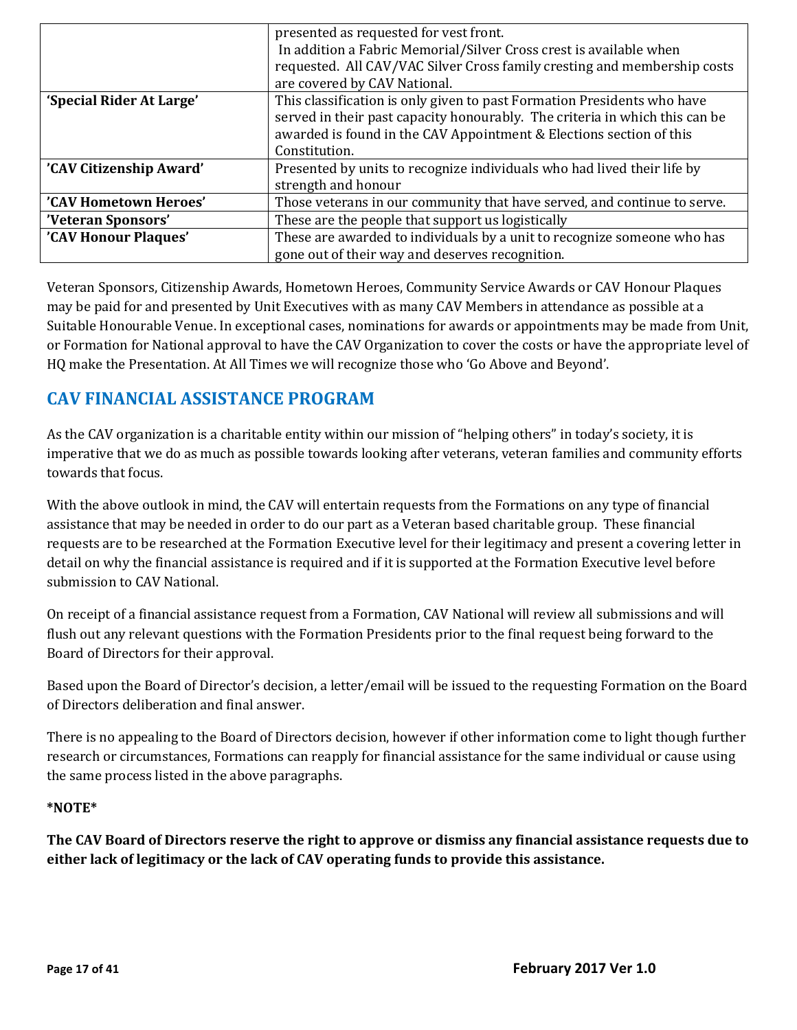|                          | presented as requested for vest front.                                      |  |  |  |  |
|--------------------------|-----------------------------------------------------------------------------|--|--|--|--|
|                          | In addition a Fabric Memorial/Silver Cross crest is available when          |  |  |  |  |
|                          | requested. All CAV/VAC Silver Cross family cresting and membership costs    |  |  |  |  |
|                          | are covered by CAV National.                                                |  |  |  |  |
| 'Special Rider At Large' | This classification is only given to past Formation Presidents who have     |  |  |  |  |
|                          | served in their past capacity honourably. The criteria in which this can be |  |  |  |  |
|                          | awarded is found in the CAV Appointment & Elections section of this         |  |  |  |  |
|                          | Constitution.                                                               |  |  |  |  |
| 'CAV Citizenship Award'  | Presented by units to recognize individuals who had lived their life by     |  |  |  |  |
|                          | strength and honour                                                         |  |  |  |  |
| 'CAV Hometown Heroes'    | Those veterans in our community that have served, and continue to serve.    |  |  |  |  |
| 'Veteran Sponsors'       | These are the people that support us logistically                           |  |  |  |  |
| 'CAV Honour Plaques'     | These are awarded to individuals by a unit to recognize someone who has     |  |  |  |  |
|                          | gone out of their way and deserves recognition.                             |  |  |  |  |

Veteran Sponsors, Citizenship Awards, Hometown Heroes, Community Service Awards or CAV Honour Plaques may be paid for and presented by Unit Executives with as many CAV Members in attendance as possible at a Suitable Honourable Venue. In exceptional cases, nominations for awards or appointments may be made from Unit, or Formation for National approval to have the CAV Organization to cover the costs or have the appropriate level of HQ make the Presentation. At All Times we will recognize those who 'Go Above and Beyond'.

# **CAV FINANCIAL ASSISTANCE PROGRAM**

As the CAV organization is a charitable entity within our mission of "helping others" in today's society, it is imperative that we do as much as possible towards looking after veterans, veteran families and community efforts towards that focus.

With the above outlook in mind, the CAV will entertain requests from the Formations on any type of financial assistance that may be needed in order to do our part as a Veteran based charitable group. These financial requests are to be researched at the Formation Executive level for their legitimacy and present a covering letter in detail on why the financial assistance is required and if it is supported at the Formation Executive level before submission to CAV National.

On receipt of a financial assistance request from a Formation, CAV National will review all submissions and will flush out any relevant questions with the Formation Presidents prior to the final request being forward to the Board of Directors for their approval.

Based upon the Board of Director's decision, a letter/email will be issued to the requesting Formation on the Board of Directors deliberation and final answer.

There is no appealing to the Board of Directors decision, however if other information come to light though further research or circumstances, Formations can reapply for financial assistance for the same individual or cause using the same process listed in the above paragraphs.

#### **\*NOTE\***

**The CAV Board of Directors reserve the right to approve or dismiss any financial assistance requests due to either lack of legitimacy or the lack of CAV operating funds to provide this assistance.**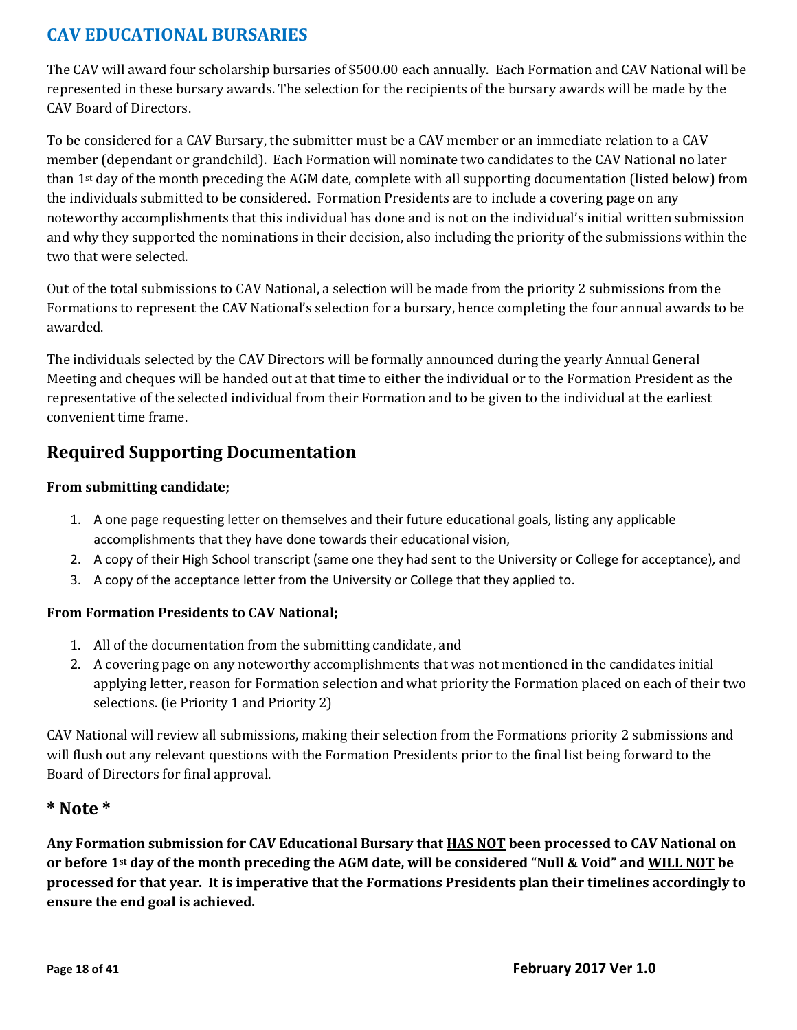# **CAV EDUCATIONAL BURSARIES**

The CAV will award four scholarship bursaries of \$500.00 each annually. Each Formation and CAV National will be represented in these bursary awards. The selection for the recipients of the bursary awards will be made by the CAV Board of Directors.

To be considered for a CAV Bursary, the submitter must be a CAV member or an immediate relation to a CAV member (dependant or grandchild). Each Formation will nominate two candidates to the CAV National no later than 1st day of the month preceding the AGM date, complete with all supporting documentation (listed below) from the individuals submitted to be considered. Formation Presidents are to include a covering page on any noteworthy accomplishments that this individual has done and is not on the individual's initial written submission and why they supported the nominations in their decision, also including the priority of the submissions within the two that were selected.

Out of the total submissions to CAV National, a selection will be made from the priority 2 submissions from the Formations to represent the CAV National's selection for a bursary, hence completing the four annual awards to be awarded.

The individuals selected by the CAV Directors will be formally announced during the yearly Annual General Meeting and cheques will be handed out at that time to either the individual or to the Formation President as the representative of the selected individual from their Formation and to be given to the individual at the earliest convenient time frame.

# **Required Supporting Documentation**

#### **From submitting candidate;**

- 1. A one page requesting letter on themselves and their future educational goals, listing any applicable accomplishments that they have done towards their educational vision,
- 2. A copy of their High School transcript (same one they had sent to the University or College for acceptance), and
- 3. A copy of the acceptance letter from the University or College that they applied to.

#### **From Formation Presidents to CAV National;**

- 1. All of the documentation from the submitting candidate, and
- 2. A covering page on any noteworthy accomplishments that was not mentioned in the candidates initial applying letter, reason for Formation selection and what priority the Formation placed on each of their two selections. (ie Priority 1 and Priority 2)

CAV National will review all submissions, making their selection from the Formations priority 2 submissions and will flush out any relevant questions with the Formation Presidents prior to the final list being forward to the Board of Directors for final approval.

#### **\* Note \***

**Any Formation submission for CAV Educational Bursary that HAS NOT been processed to CAV National on or before 1st day of the month preceding the AGM date, will be considered "Null & Void" and WILL NOT be processed for that year. It is imperative that the Formations Presidents plan their timelines accordingly to ensure the end goal is achieved.**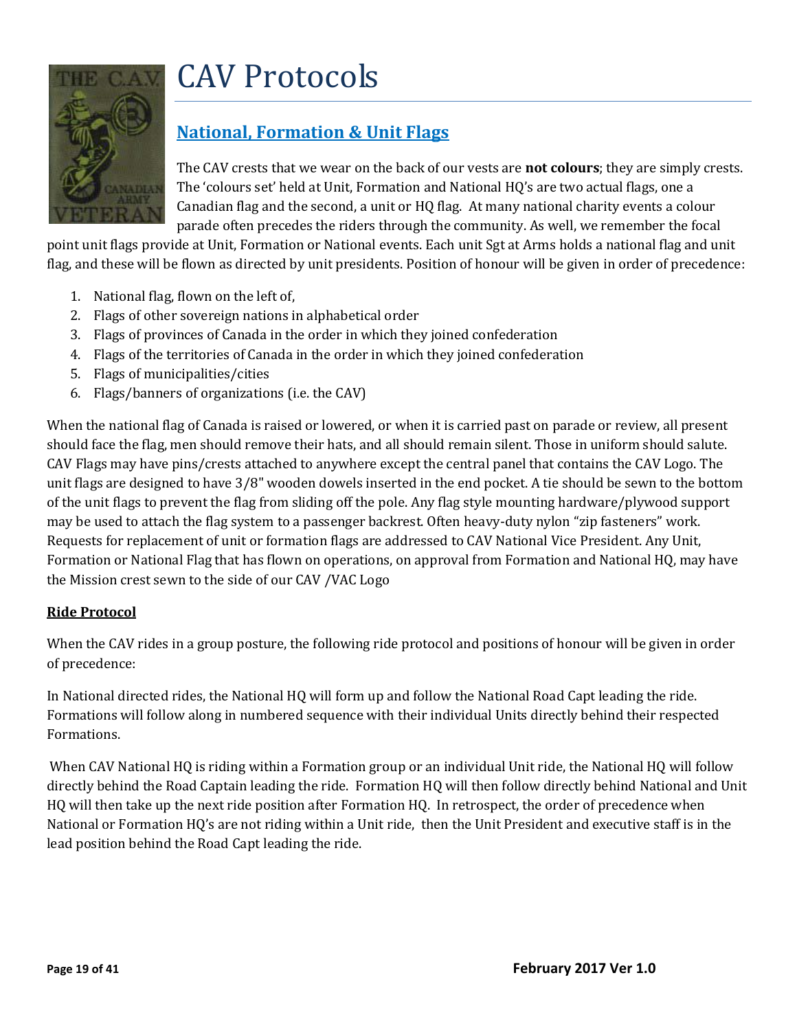# <span id="page-18-0"></span>CAV Protocols



# **National, Formation & Unit Flags**

The CAV crests that we wear on the back of our vests are **not colours**; they are simply crests. The 'colours set' held at Unit, Formation and National HQ's are two actual flags, one a Canadian flag and the second, a unit or HQ flag. At many national charity events a colour parade often precedes the riders through the community. As well, we remember the focal

point unit flags provide at Unit, Formation or National events. Each unit Sgt at Arms holds a national flag and unit flag, and these will be flown as directed by unit presidents. Position of honour will be given in order of precedence:

- 1. National flag, flown on the left of,
- 2. Flags of other sovereign nations in alphabetical order
- 3. Flags of provinces of Canada in the order in which they joined confederation
- 4. Flags of the territories of Canada in the order in which they joined confederation
- 5. Flags of municipalities/cities
- 6. Flags/banners of organizations (i.e. the CAV)

When the national flag of Canada is raised or lowered, or when it is carried past on parade or review, all present should face the flag, men should remove their hats, and all should remain silent. Those in uniform should salute. CAV Flags may have pins/crests attached to anywhere except the central panel that contains the CAV Logo. The unit flags are designed to have 3/8" wooden dowels inserted in the end pocket. A tie should be sewn to the bottom of the unit flags to prevent the flag from sliding off the pole. Any flag style mounting hardware/plywood support may be used to attach the flag system to a passenger backrest. Often heavy-duty nylon "zip fasteners" work. Requests for replacement of unit or formation flags are addressed to CAV National Vice President. Any Unit, Formation or National Flag that has flown on operations, on approval from Formation and National HQ, may have the Mission crest sewn to the side of our CAV /VAC Logo

#### **Ride Protocol**

When the CAV rides in a group posture, the following ride protocol and positions of honour will be given in order of precedence:

In National directed rides, the National HQ will form up and follow the National Road Capt leading the ride. Formations will follow along in numbered sequence with their individual Units directly behind their respected Formations.

When CAV National HQ is riding within a Formation group or an individual Unit ride, the National HQ will follow directly behind the Road Captain leading the ride. Formation HQ will then follow directly behind National and Unit HQ will then take up the next ride position after Formation HQ. In retrospect, the order of precedence when National or Formation HQ's are not riding within a Unit ride, then the Unit President and executive staff is in the lead position behind the Road Capt leading the ride.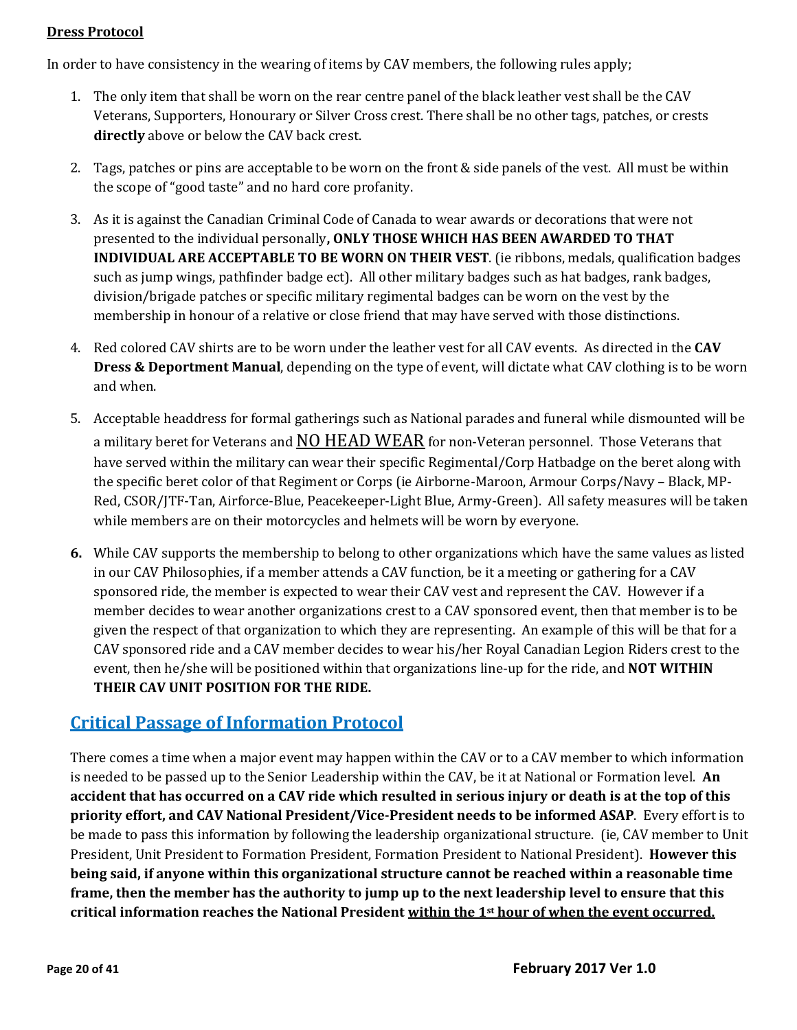#### **Dress Protocol**

In order to have consistency in the wearing of items by CAV members, the following rules apply;

- 1. The only item that shall be worn on the rear centre panel of the black leather vest shall be the CAV Veterans, Supporters, Honourary or Silver Cross crest. There shall be no other tags, patches, or crests **directly** above or below the CAV back crest.
- 2. Tags, patches or pins are acceptable to be worn on the front & side panels of the vest. All must be within the scope of "good taste" and no hard core profanity.
- 3. As it is against the Canadian Criminal Code of Canada to wear awards or decorations that were not presented to the individual personally**, ONLY THOSE WHICH HAS BEEN AWARDED TO THAT INDIVIDUAL ARE ACCEPTABLE TO BE WORN ON THEIR VEST**. (ie ribbons, medals, qualification badges such as jump wings, pathfinder badge ect). All other military badges such as hat badges, rank badges, division/brigade patches or specific military regimental badges can be worn on the vest by the membership in honour of a relative or close friend that may have served with those distinctions.
- 4. Red colored CAV shirts are to be worn under the leather vest for all CAV events. As directed in the **CAV Dress & Deportment Manual**, depending on the type of event, will dictate what CAV clothing is to be worn and when.
- 5. Acceptable headdress for formal gatherings such as National parades and funeral while dismounted will be a military beret for Veterans and **NO HEAD WEAR** for non-Veteran personnel. Those Veterans that have served within the military can wear their specific Regimental/Corp Hatbadge on the beret along with the specific beret color of that Regiment or Corps (ie Airborne-Maroon, Armour Corps/Navy – Black, MP-Red, CSOR/JTF-Tan, Airforce-Blue, Peacekeeper-Light Blue, Army-Green). All safety measures will be taken while members are on their motorcycles and helmets will be worn by everyone.
- **6.** While CAV supports the membership to belong to other organizations which have the same values as listed in our CAV Philosophies, if a member attends a CAV function, be it a meeting or gathering for a CAV sponsored ride, the member is expected to wear their CAV vest and represent the CAV. However if a member decides to wear another organizations crest to a CAV sponsored event, then that member is to be given the respect of that organization to which they are representing. An example of this will be that for a CAV sponsored ride and a CAV member decides to wear his/her Royal Canadian Legion Riders crest to the event, then he/she will be positioned within that organizations line-up for the ride, and **NOT WITHIN THEIR CAV UNIT POSITION FOR THE RIDE.**

#### **Critical Passage of Information Protocol**

There comes a time when a major event may happen within the CAV or to a CAV member to which information is needed to be passed up to the Senior Leadership within the CAV, be it at National or Formation level. **An accident that has occurred on a CAV ride which resulted in serious injury or death is at the top of this priority effort, and CAV National President/Vice-President needs to be informed ASAP**. Every effort is to be made to pass this information by following the leadership organizational structure. (ie, CAV member to Unit President, Unit President to Formation President, Formation President to National President). **However this being said, if anyone within this organizational structure cannot be reached within a reasonable time frame, then the member has the authority to jump up to the next leadership level to ensure that this critical information reaches the National President within the 1st hour of when the event occurred.**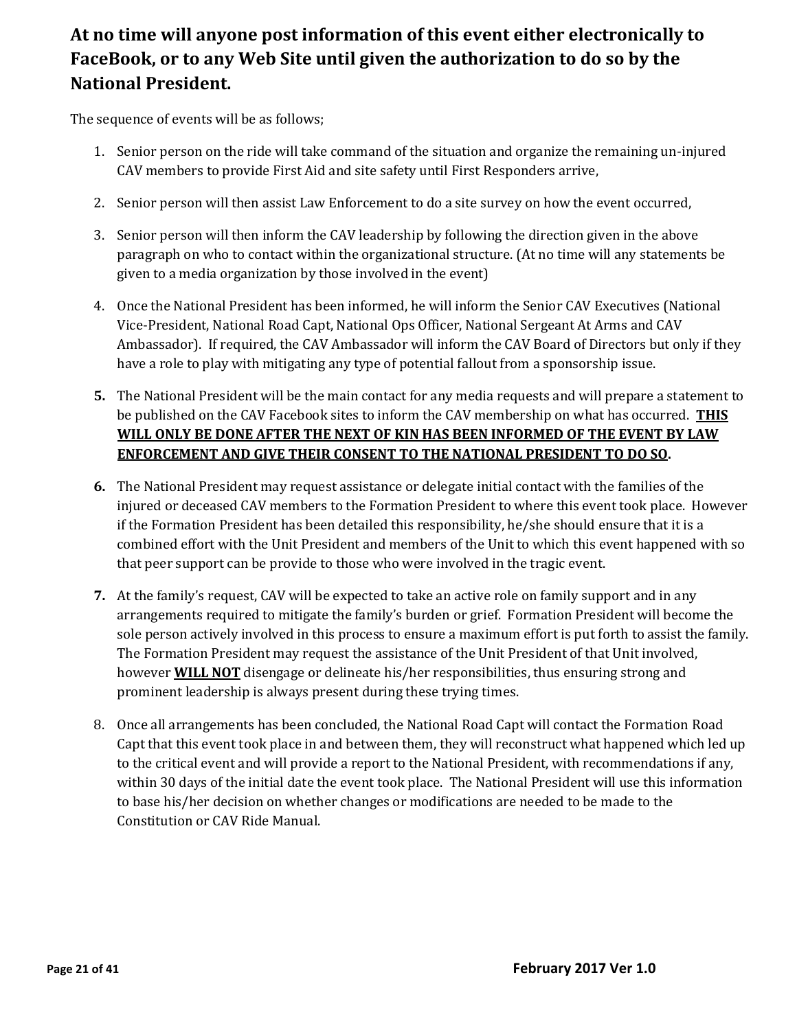# **At no time will anyone post information of this event either electronically to FaceBook, or to any Web Site until given the authorization to do so by the National President.**

The sequence of events will be as follows;

- 1. Senior person on the ride will take command of the situation and organize the remaining un-injured CAV members to provide First Aid and site safety until First Responders arrive,
- 2. Senior person will then assist Law Enforcement to do a site survey on how the event occurred,
- 3. Senior person will then inform the CAV leadership by following the direction given in the above paragraph on who to contact within the organizational structure. (At no time will any statements be given to a media organization by those involved in the event)
- 4. Once the National President has been informed, he will inform the Senior CAV Executives (National Vice-President, National Road Capt, National Ops Officer, National Sergeant At Arms and CAV Ambassador). If required, the CAV Ambassador will inform the CAV Board of Directors but only if they have a role to play with mitigating any type of potential fallout from a sponsorship issue.
- **5.** The National President will be the main contact for any media requests and will prepare a statement to be published on the CAV Facebook sites to inform the CAV membership on what has occurred. **THIS WILL ONLY BE DONE AFTER THE NEXT OF KIN HAS BEEN INFORMED OF THE EVENT BY LAW ENFORCEMENT AND GIVE THEIR CONSENT TO THE NATIONAL PRESIDENT TO DO SO.**
- **6.** The National President may request assistance or delegate initial contact with the families of the injured or deceased CAV members to the Formation President to where this event took place. However if the Formation President has been detailed this responsibility, he/she should ensure that it is a combined effort with the Unit President and members of the Unit to which this event happened with so that peer support can be provide to those who were involved in the tragic event.
- **7.** At the family's request, CAV will be expected to take an active role on family support and in any arrangements required to mitigate the family's burden or grief. Formation President will become the sole person actively involved in this process to ensure a maximum effort is put forth to assist the family. The Formation President may request the assistance of the Unit President of that Unit involved, however **WILL NOT** disengage or delineate his/her responsibilities, thus ensuring strong and prominent leadership is always present during these trying times.
- 8. Once all arrangements has been concluded, the National Road Capt will contact the Formation Road Capt that this event took place in and between them, they will reconstruct what happened which led up to the critical event and will provide a report to the National President, with recommendations if any, within 30 days of the initial date the event took place. The National President will use this information to base his/her decision on whether changes or modifications are needed to be made to the Constitution or CAV Ride Manual.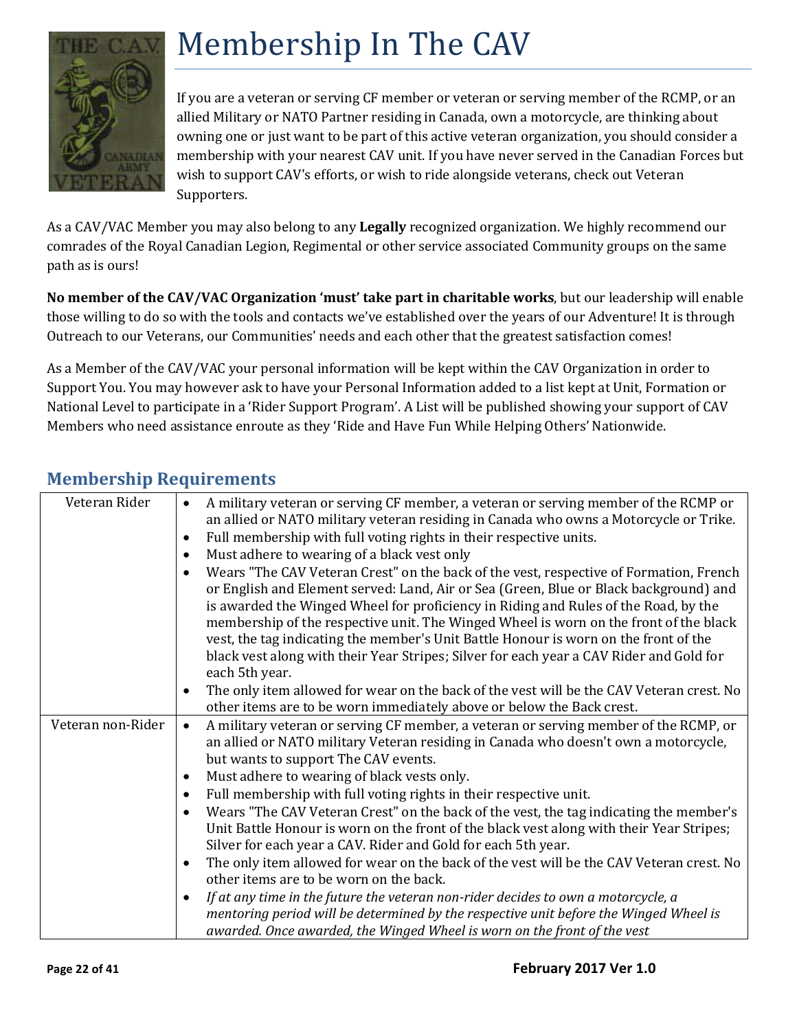

# <span id="page-21-0"></span>Membership In The CAV

If you are a veteran or serving CF member or veteran or serving member of the RCMP, or an allied Military or NATO Partner residing in Canada, own a motorcycle, are thinking about owning one or just want to be part of this active veteran organization, you should consider a membership with your nearest CAV unit. If you have never served in the Canadian Forces but wish to support CAV's efforts, or wish to ride alongside veterans, check out Veteran Supporters.

As a CAV/VAC Member you may also belong to any **Legally** recognized organization. We highly recommend our comrades of the Royal Canadian Legion, Regimental or other service associated Community groups on the same path as is ours!

**No member of the CAV/VAC Organization 'must' take part in charitable works**, but our leadership will enable those willing to do so with the tools and contacts we've established over the years of our Adventure! It is through Outreach to our Veterans, our Communities' needs and each other that the greatest satisfaction comes!

As a Member of the CAV/VAC your personal information will be kept within the CAV Organization in order to Support You. You may however ask to have your Personal Information added to a list kept at Unit, Formation or National Level to participate in a 'Rider Support Program'. A List will be published showing your support of CAV Members who need assistance enroute as they 'Ride and Have Fun While Helping Others' Nationwide.

| Veteran Rider     | A military veteran or serving CF member, a veteran or serving member of the RCMP or<br>$\bullet$                                                                                                                                                                                                                                                                             |  |  |  |
|-------------------|------------------------------------------------------------------------------------------------------------------------------------------------------------------------------------------------------------------------------------------------------------------------------------------------------------------------------------------------------------------------------|--|--|--|
|                   | an allied or NATO military veteran residing in Canada who owns a Motorcycle or Trike.                                                                                                                                                                                                                                                                                        |  |  |  |
|                   | Full membership with full voting rights in their respective units.<br>$\bullet$                                                                                                                                                                                                                                                                                              |  |  |  |
|                   | Must adhere to wearing of a black vest only<br>$\bullet$                                                                                                                                                                                                                                                                                                                     |  |  |  |
|                   | Wears "The CAV Veteran Crest" on the back of the vest, respective of Formation, French<br>$\bullet$<br>or English and Element served: Land, Air or Sea (Green, Blue or Black background) and<br>is awarded the Winged Wheel for proficiency in Riding and Rules of the Road, by the<br>membership of the respective unit. The Winged Wheel is worn on the front of the black |  |  |  |
|                   | vest, the tag indicating the member's Unit Battle Honour is worn on the front of the                                                                                                                                                                                                                                                                                         |  |  |  |
|                   | black vest along with their Year Stripes; Silver for each year a CAV Rider and Gold for<br>each 5th year.                                                                                                                                                                                                                                                                    |  |  |  |
|                   | The only item allowed for wear on the back of the vest will be the CAV Veteran crest. No<br>$\bullet$                                                                                                                                                                                                                                                                        |  |  |  |
|                   | other items are to be worn immediately above or below the Back crest.                                                                                                                                                                                                                                                                                                        |  |  |  |
| Veteran non-Rider | A military veteran or serving CF member, a veteran or serving member of the RCMP, or<br>$\bullet$                                                                                                                                                                                                                                                                            |  |  |  |
|                   | an allied or NATO military Veteran residing in Canada who doesn't own a motorcycle,<br>but wants to support The CAV events.                                                                                                                                                                                                                                                  |  |  |  |
|                   | Must adhere to wearing of black vests only.<br>$\bullet$                                                                                                                                                                                                                                                                                                                     |  |  |  |
|                   | Full membership with full voting rights in their respective unit.<br>$\bullet$                                                                                                                                                                                                                                                                                               |  |  |  |
|                   | Wears "The CAV Veteran Crest" on the back of the vest, the tag indicating the member's<br>$\bullet$                                                                                                                                                                                                                                                                          |  |  |  |
|                   | Unit Battle Honour is worn on the front of the black vest along with their Year Stripes;                                                                                                                                                                                                                                                                                     |  |  |  |
|                   | Silver for each year a CAV. Rider and Gold for each 5th year.                                                                                                                                                                                                                                                                                                                |  |  |  |
|                   | The only item allowed for wear on the back of the vest will be the CAV Veteran crest. No<br>$\bullet$<br>other items are to be worn on the back.                                                                                                                                                                                                                             |  |  |  |
|                   | If at any time in the future the veteran non-rider decides to own a motorcycle, a<br>$\bullet$                                                                                                                                                                                                                                                                               |  |  |  |
|                   | mentoring period will be determined by the respective unit before the Winged Wheel is<br>awarded. Once awarded, the Winged Wheel is worn on the front of the vest                                                                                                                                                                                                            |  |  |  |

# <span id="page-21-1"></span>**Membership Requirements**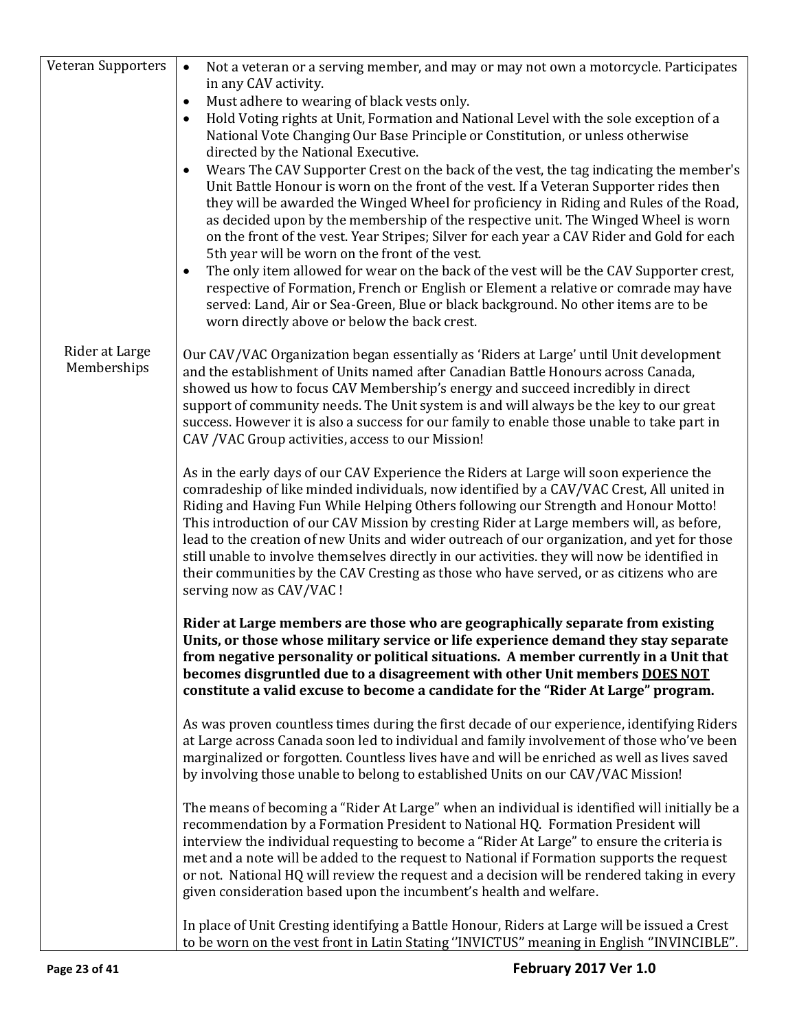| Veteran Supporters                                                                                                                                                | Not a veteran or a serving member, and may or may not own a motorcycle. Participates<br>$\bullet$                                                                                        |  |  |  |  |
|-------------------------------------------------------------------------------------------------------------------------------------------------------------------|------------------------------------------------------------------------------------------------------------------------------------------------------------------------------------------|--|--|--|--|
|                                                                                                                                                                   | in any CAV activity.                                                                                                                                                                     |  |  |  |  |
|                                                                                                                                                                   | Must adhere to wearing of black vests only.<br>$\bullet$                                                                                                                                 |  |  |  |  |
|                                                                                                                                                                   | Hold Voting rights at Unit, Formation and National Level with the sole exception of a<br>$\bullet$<br>National Vote Changing Our Base Principle or Constitution, or unless otherwise     |  |  |  |  |
|                                                                                                                                                                   | directed by the National Executive.                                                                                                                                                      |  |  |  |  |
|                                                                                                                                                                   | Wears The CAV Supporter Crest on the back of the vest, the tag indicating the member's<br>$\bullet$                                                                                      |  |  |  |  |
|                                                                                                                                                                   | Unit Battle Honour is worn on the front of the vest. If a Veteran Supporter rides then                                                                                                   |  |  |  |  |
|                                                                                                                                                                   | they will be awarded the Winged Wheel for proficiency in Riding and Rules of the Road,                                                                                                   |  |  |  |  |
|                                                                                                                                                                   | as decided upon by the membership of the respective unit. The Winged Wheel is worn                                                                                                       |  |  |  |  |
|                                                                                                                                                                   | on the front of the vest. Year Stripes; Silver for each year a CAV Rider and Gold for each                                                                                               |  |  |  |  |
|                                                                                                                                                                   | 5th year will be worn on the front of the vest.                                                                                                                                          |  |  |  |  |
|                                                                                                                                                                   | The only item allowed for wear on the back of the vest will be the CAV Supporter crest,<br>$\bullet$                                                                                     |  |  |  |  |
|                                                                                                                                                                   | respective of Formation, French or English or Element a relative or comrade may have                                                                                                     |  |  |  |  |
|                                                                                                                                                                   | served: Land, Air or Sea-Green, Blue or black background. No other items are to be                                                                                                       |  |  |  |  |
|                                                                                                                                                                   | worn directly above or below the back crest.                                                                                                                                             |  |  |  |  |
| Rider at Large                                                                                                                                                    |                                                                                                                                                                                          |  |  |  |  |
| Memberships                                                                                                                                                       | Our CAV/VAC Organization began essentially as 'Riders at Large' until Unit development<br>and the establishment of Units named after Canadian Battle Honours across Canada,              |  |  |  |  |
|                                                                                                                                                                   | showed us how to focus CAV Membership's energy and succeed incredibly in direct                                                                                                          |  |  |  |  |
|                                                                                                                                                                   | support of community needs. The Unit system is and will always be the key to our great                                                                                                   |  |  |  |  |
|                                                                                                                                                                   | success. However it is also a success for our family to enable those unable to take part in                                                                                              |  |  |  |  |
|                                                                                                                                                                   | CAV / VAC Group activities, access to our Mission!                                                                                                                                       |  |  |  |  |
|                                                                                                                                                                   |                                                                                                                                                                                          |  |  |  |  |
|                                                                                                                                                                   | As in the early days of our CAV Experience the Riders at Large will soon experience the                                                                                                  |  |  |  |  |
|                                                                                                                                                                   | comradeship of like minded individuals, now identified by a CAV/VAC Crest, All united in                                                                                                 |  |  |  |  |
|                                                                                                                                                                   | Riding and Having Fun While Helping Others following our Strength and Honour Motto!<br>This introduction of our CAV Mission by cresting Rider at Large members will, as before,          |  |  |  |  |
|                                                                                                                                                                   | lead to the creation of new Units and wider outreach of our organization, and yet for those                                                                                              |  |  |  |  |
|                                                                                                                                                                   | still unable to involve themselves directly in our activities. they will now be identified in                                                                                            |  |  |  |  |
|                                                                                                                                                                   | their communities by the CAV Cresting as those who have served, or as citizens who are                                                                                                   |  |  |  |  |
|                                                                                                                                                                   | serving now as CAV/VAC !                                                                                                                                                                 |  |  |  |  |
|                                                                                                                                                                   |                                                                                                                                                                                          |  |  |  |  |
|                                                                                                                                                                   | Rider at Large members are those who are geographically separate from existing<br>Units, or those whose military service or life experience demand they stay separate                    |  |  |  |  |
|                                                                                                                                                                   | from negative personality or political situations. A member currently in a Unit that                                                                                                     |  |  |  |  |
|                                                                                                                                                                   | becomes disgruntled due to a disagreement with other Unit members DOES NOT                                                                                                               |  |  |  |  |
|                                                                                                                                                                   | constitute a valid excuse to become a candidate for the "Rider At Large" program.                                                                                                        |  |  |  |  |
|                                                                                                                                                                   |                                                                                                                                                                                          |  |  |  |  |
|                                                                                                                                                                   | As was proven countless times during the first decade of our experience, identifying Riders                                                                                              |  |  |  |  |
|                                                                                                                                                                   | at Large across Canada soon led to individual and family involvement of those who've been<br>marginalized or forgotten. Countless lives have and will be enriched as well as lives saved |  |  |  |  |
|                                                                                                                                                                   | by involving those unable to belong to established Units on our CAV/VAC Mission!                                                                                                         |  |  |  |  |
|                                                                                                                                                                   |                                                                                                                                                                                          |  |  |  |  |
|                                                                                                                                                                   | The means of becoming a "Rider At Large" when an individual is identified will initially be a                                                                                            |  |  |  |  |
|                                                                                                                                                                   | recommendation by a Formation President to National HQ. Formation President will                                                                                                         |  |  |  |  |
|                                                                                                                                                                   | interview the individual requesting to become a "Rider At Large" to ensure the criteria is                                                                                               |  |  |  |  |
|                                                                                                                                                                   | met and a note will be added to the request to National if Formation supports the request                                                                                                |  |  |  |  |
| or not. National HQ will review the request and a decision will be rendered taking in every<br>given consideration based upon the incumbent's health and welfare. |                                                                                                                                                                                          |  |  |  |  |
|                                                                                                                                                                   |                                                                                                                                                                                          |  |  |  |  |
|                                                                                                                                                                   | In place of Unit Cresting identifying a Battle Honour, Riders at Large will be issued a Crest                                                                                            |  |  |  |  |
|                                                                                                                                                                   | to be worn on the vest front in Latin Stating "INVICTUS" meaning in English "INVINCIBLE".                                                                                                |  |  |  |  |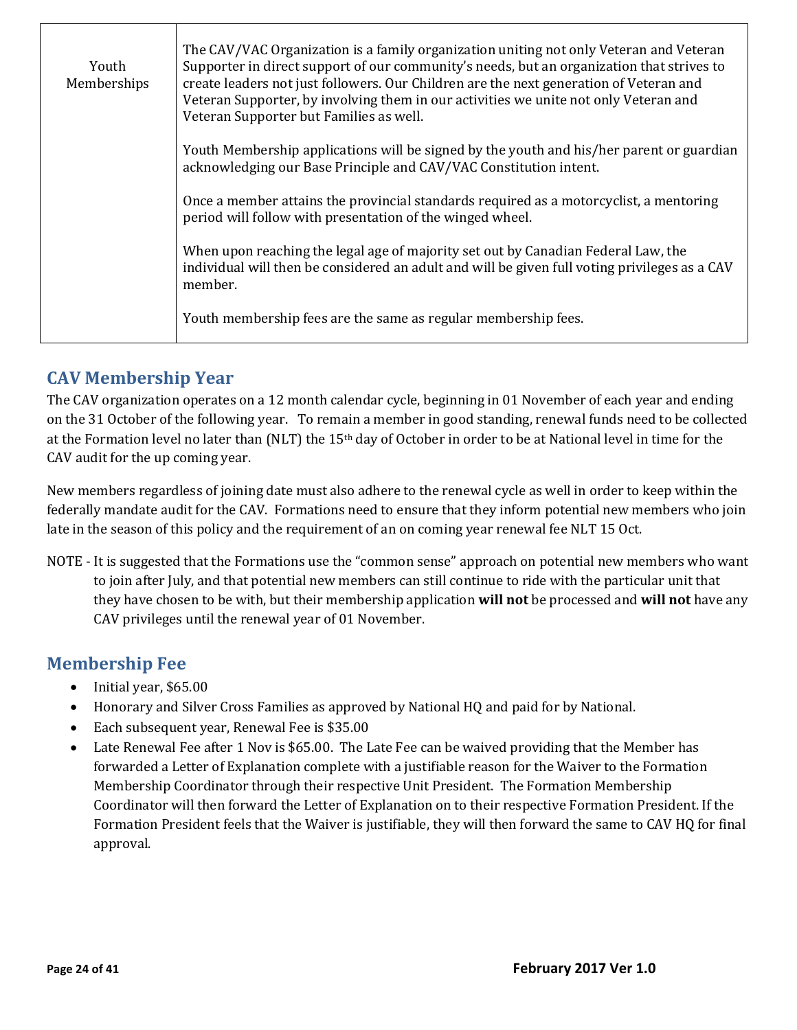| Youth<br>Memberships | The CAV/VAC Organization is a family organization uniting not only Veteran and Veteran<br>Supporter in direct support of our community's needs, but an organization that strives to<br>create leaders not just followers. Our Children are the next generation of Veteran and<br>Veteran Supporter, by involving them in our activities we unite not only Veteran and<br>Veteran Supporter but Families as well. |
|----------------------|------------------------------------------------------------------------------------------------------------------------------------------------------------------------------------------------------------------------------------------------------------------------------------------------------------------------------------------------------------------------------------------------------------------|
|                      | Youth Membership applications will be signed by the youth and his/her parent or guardian<br>acknowledging our Base Principle and CAV/VAC Constitution intent.                                                                                                                                                                                                                                                    |
|                      | Once a member attains the provincial standards required as a motorcyclist, a mentoring<br>period will follow with presentation of the winged wheel.                                                                                                                                                                                                                                                              |
|                      | When upon reaching the legal age of majority set out by Canadian Federal Law, the<br>individual will then be considered an adult and will be given full voting privileges as a CAV<br>member.                                                                                                                                                                                                                    |
|                      | Youth membership fees are the same as regular membership fees.                                                                                                                                                                                                                                                                                                                                                   |

# <span id="page-23-0"></span>**CAV Membership Year**

The CAV organization operates on a 12 month calendar cycle, beginning in 01 November of each year and ending on the 31 October of the following year. To remain a member in good standing, renewal funds need to be collected at the Formation level no later than (NLT) the 15th day of October in order to be at National level in time for the CAV audit for the up coming year.

New members regardless of joining date must also adhere to the renewal cycle as well in order to keep within the federally mandate audit for the CAV. Formations need to ensure that they inform potential new members who join late in the season of this policy and the requirement of an on coming year renewal fee NLT 15 Oct.

NOTE - It is suggested that the Formations use the "common sense" approach on potential new members who want to join after July, and that potential new members can still continue to ride with the particular unit that they have chosen to be with, but their membership application **will not** be processed and **will not** have any CAV privileges until the renewal year of 01 November.

# <span id="page-23-1"></span>**Membership Fee**

- Initial year, \$65.00
- Honorary and Silver Cross Families as approved by National HQ and paid for by National.
- Each subsequent year, Renewal Fee is \$35.00
- Late Renewal Fee after 1 Nov is \$65.00. The Late Fee can be waived providing that the Member has forwarded a Letter of Explanation complete with a justifiable reason for the Waiver to the Formation Membership Coordinator through their respective Unit President. The Formation Membership Coordinator will then forward the Letter of Explanation on to their respective Formation President. If the Formation President feels that the Waiver is justifiable, they will then forward the same to CAV HQ for final approval.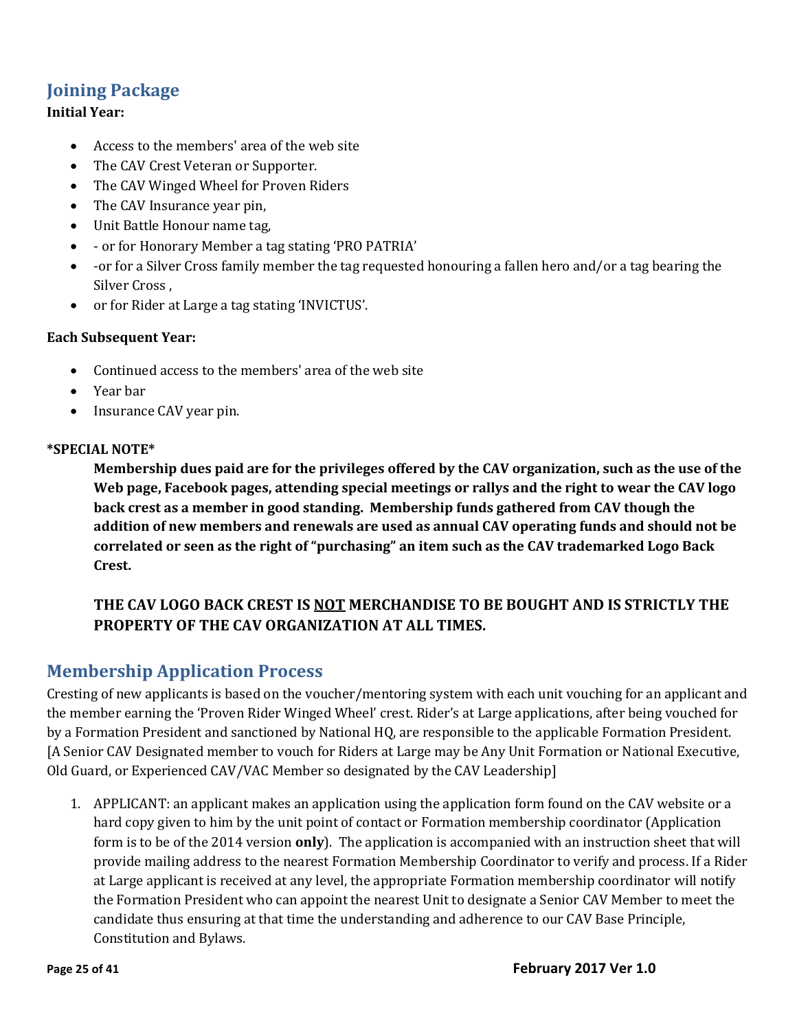# <span id="page-24-0"></span>**Joining Package**

#### **Initial Year:**

- Access to the members' area of the web site
- The CAV Crest Veteran or Supporter.
- The CAV Winged Wheel for Proven Riders
- The CAV Insurance year pin,
- Unit Battle Honour name tag,
- or for Honorary Member a tag stating 'PRO PATRIA'
- -or for a Silver Cross family member the tag requested honouring a fallen hero and/or a tag bearing the Silver Cross ,
- or for Rider at Large a tag stating 'INVICTUS'.

#### **Each Subsequent Year:**

- Continued access to the members' area of the web site
- Year bar
- Insurance CAV year pin.

#### **\*SPECIAL NOTE\***

**Membership dues paid are for the privileges offered by the CAV organization, such as the use of the Web page, Facebook pages, attending special meetings or rallys and the right to wear the CAV logo back crest as a member in good standing. Membership funds gathered from CAV though the addition of new members and renewals are used as annual CAV operating funds and should not be correlated or seen as the right of "purchasing" an item such as the CAV trademarked Logo Back Crest.** 

#### **THE CAV LOGO BACK CREST IS NOT MERCHANDISE TO BE BOUGHT AND IS STRICTLY THE PROPERTY OF THE CAV ORGANIZATION AT ALL TIMES.**

#### <span id="page-24-1"></span>**Membership Application Process**

Cresting of new applicants is based on the voucher/mentoring system with each unit vouching for an applicant and the member earning the 'Proven Rider Winged Wheel' crest. Rider's at Large applications, after being vouched for by a Formation President and sanctioned by National HQ, are responsible to the applicable Formation President. [A Senior CAV Designated member to vouch for Riders at Large may be Any Unit Formation or National Executive, Old Guard, or Experienced CAV/VAC Member so designated by the CAV Leadership]

1. APPLICANT: an applicant makes an application using the application form found on the CAV website or a hard copy given to him by the unit point of contact or Formation membership coordinator (Application form is to be of the 2014 version **only**). The application is accompanied with an instruction sheet that will provide mailing address to the nearest Formation Membership Coordinator to verify and process. If a Rider at Large applicant is received at any level, the appropriate Formation membership coordinator will notify the Formation President who can appoint the nearest Unit to designate a Senior CAV Member to meet the candidate thus ensuring at that time the understanding and adherence to our CAV Base Principle, Constitution and Bylaws.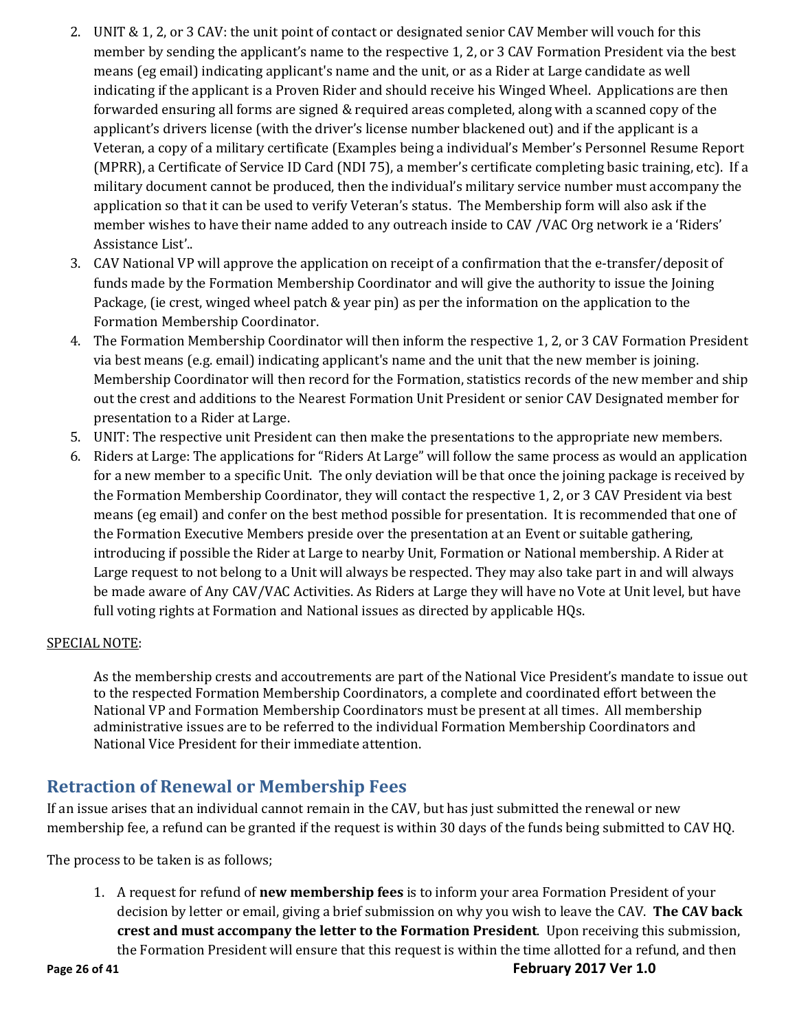- 2. UNIT & 1, 2, or 3 CAV: the unit point of contact or designated senior CAV Member will vouch for this member by sending the applicant's name to the respective 1, 2, or 3 CAV Formation President via the best means (eg email) indicating applicant's name and the unit, or as a Rider at Large candidate as well indicating if the applicant is a Proven Rider and should receive his Winged Wheel. Applications are then forwarded ensuring all forms are signed & required areas completed, along with a scanned copy of the applicant's drivers license (with the driver's license number blackened out) and if the applicant is a Veteran, a copy of a military certificate (Examples being a individual's Member's Personnel Resume Report (MPRR), a Certificate of Service ID Card (NDI 75), a member's certificate completing basic training, etc). If a military document cannot be produced, then the individual's military service number must accompany the application so that it can be used to verify Veteran's status. The Membership form will also ask if the member wishes to have their name added to any outreach inside to CAV /VAC Org network ie a 'Riders' Assistance List'..
- 3. CAV National VP will approve the application on receipt of a confirmation that the e-transfer/deposit of funds made by the Formation Membership Coordinator and will give the authority to issue the Joining Package, (ie crest, winged wheel patch & year pin) as per the information on the application to the Formation Membership Coordinator.
- 4. The Formation Membership Coordinator will then inform the respective 1, 2, or 3 CAV Formation President via best means (e.g. email) indicating applicant's name and the unit that the new member is joining. Membership Coordinator will then record for the Formation, statistics records of the new member and ship out the crest and additions to the Nearest Formation Unit President or senior CAV Designated member for presentation to a Rider at Large.
- 5. UNIT: The respective unit President can then make the presentations to the appropriate new members.
- 6. Riders at Large: The applications for "Riders At Large" will follow the same process as would an application for a new member to a specific Unit. The only deviation will be that once the joining package is received by the Formation Membership Coordinator, they will contact the respective 1, 2, or 3 CAV President via best means (eg email) and confer on the best method possible for presentation. It is recommended that one of the Formation Executive Members preside over the presentation at an Event or suitable gathering, introducing if possible the Rider at Large to nearby Unit, Formation or National membership. A Rider at Large request to not belong to a Unit will always be respected. They may also take part in and will always be made aware of Any CAV/VAC Activities. As Riders at Large they will have no Vote at Unit level, but have full voting rights at Formation and National issues as directed by applicable HQs.

#### SPECIAL NOTE:

As the membership crests and accoutrements are part of the National Vice President's mandate to issue out to the respected Formation Membership Coordinators, a complete and coordinated effort between the National VP and Formation Membership Coordinators must be present at all times. All membership administrative issues are to be referred to the individual Formation Membership Coordinators and National Vice President for their immediate attention.

#### <span id="page-25-0"></span>**Retraction of Renewal or Membership Fees**

If an issue arises that an individual cannot remain in the CAV, but has just submitted the renewal or new membership fee, a refund can be granted if the request is within 30 days of the funds being submitted to CAV HQ.

The process to be taken is as follows;

1. A request for refund of **new membership fees** is to inform your area Formation President of your decision by letter or email, giving a brief submission on why you wish to leave the CAV. **The CAV back crest and must accompany the letter to the Formation President**. Upon receiving this submission, the Formation President will ensure that this request is within the time allotted for a refund, and then

**Page 26 of 41 February 2017 Ver 1.0**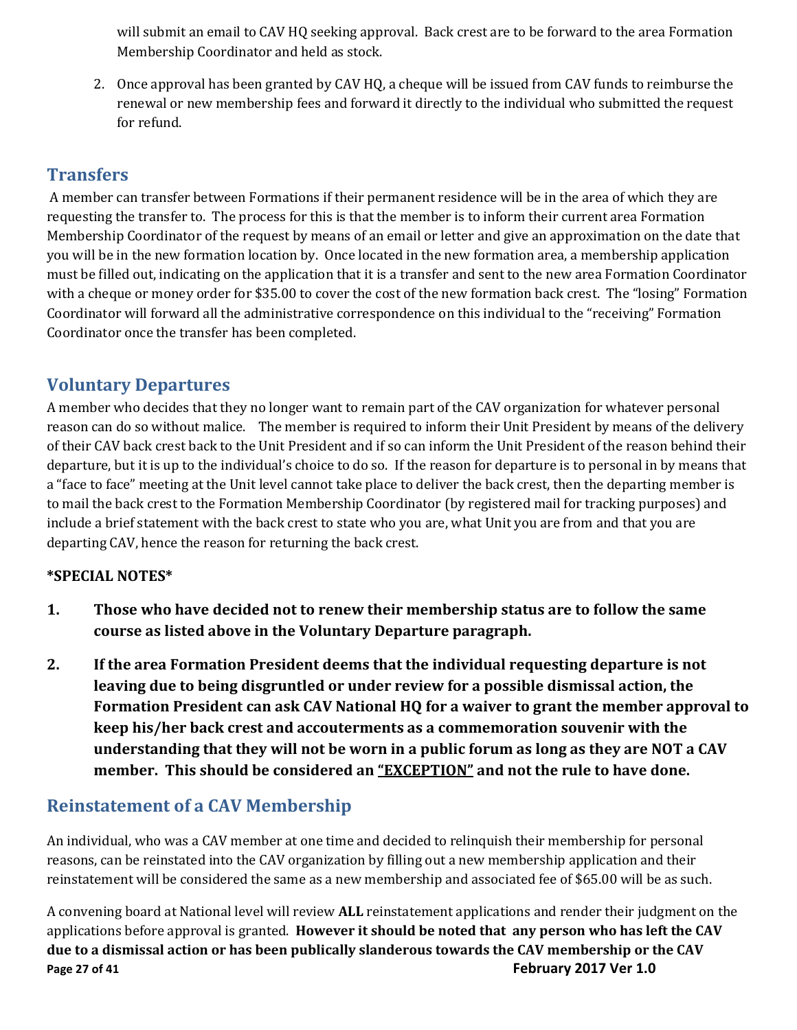will submit an email to CAV HQ seeking approval. Back crest are to be forward to the area Formation Membership Coordinator and held as stock.

2. Once approval has been granted by CAV HQ, a cheque will be issued from CAV funds to reimburse the renewal or new membership fees and forward it directly to the individual who submitted the request for refund.

# <span id="page-26-0"></span>**Transfers**

A member can transfer between Formations if their permanent residence will be in the area of which they are requesting the transfer to. The process for this is that the member is to inform their current area Formation Membership Coordinator of the request by means of an email or letter and give an approximation on the date that you will be in the new formation location by. Once located in the new formation area, a membership application must be filled out, indicating on the application that it is a transfer and sent to the new area Formation Coordinator with a cheque or money order for \$35.00 to cover the cost of the new formation back crest. The "losing" Formation Coordinator will forward all the administrative correspondence on this individual to the "receiving" Formation Coordinator once the transfer has been completed.

#### <span id="page-26-1"></span>**Voluntary Departures**

A member who decides that they no longer want to remain part of the CAV organization for whatever personal reason can do so without malice. The member is required to inform their Unit President by means of the delivery of their CAV back crest back to the Unit President and if so can inform the Unit President of the reason behind their departure, but it is up to the individual's choice to do so. If the reason for departure is to personal in by means that a "face to face" meeting at the Unit level cannot take place to deliver the back crest, then the departing member is to mail the back crest to the Formation Membership Coordinator (by registered mail for tracking purposes) and include a brief statement with the back crest to state who you are, what Unit you are from and that you are departing CAV, hence the reason for returning the back crest.

#### **\*SPECIAL NOTES\***

- **1. Those who have decided not to renew their membership status are to follow the same course as listed above in the Voluntary Departure paragraph.**
- **2. If the area Formation President deems that the individual requesting departure is not leaving due to being disgruntled or under review for a possible dismissal action, the Formation President can ask CAV National HQ for a waiver to grant the member approval to keep his/her back crest and accouterments as a commemoration souvenir with the understanding that they will not be worn in a public forum as long as they are NOT a CAV member. This should be considered an "EXCEPTION" and not the rule to have done.**

# **Reinstatement of a CAV Membership**

An individual, who was a CAV member at one time and decided to relinquish their membership for personal reasons, can be reinstated into the CAV organization by filling out a new membership application and their reinstatement will be considered the same as a new membership and associated fee of \$65.00 will be as such.

**Page 27 of 41 February 2017 Ver 1.0** A convening board at National level will review **ALL** reinstatement applications and render their judgment on the applications before approval is granted. **However it should be noted that any person who has left the CAV due to a dismissal action or has been publically slanderous towards the CAV membership or the CAV**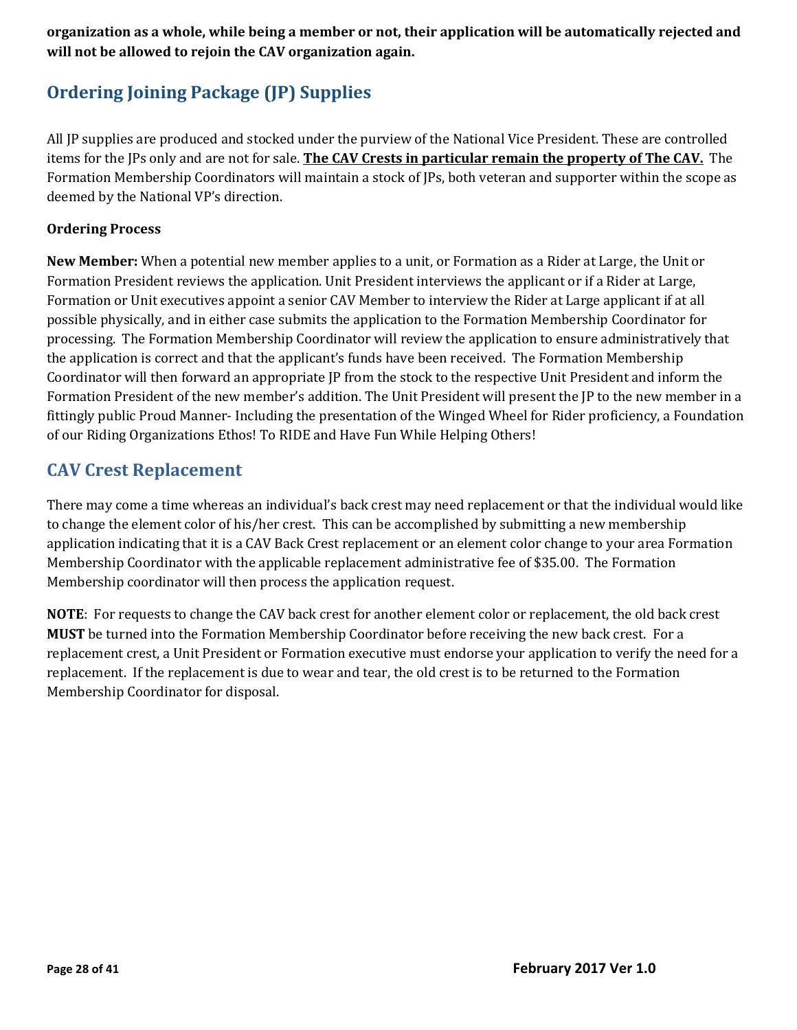#### **organization as a whole, while being a member or not, their application will be automatically rejected and will not be allowed to rejoin the CAV organization again.**

# **Ordering Joining Package (JP) Supplies**

All JP supplies are produced and stocked under the purview of the National Vice President. These are controlled items for the JPs only and are not for sale. **The CAV Crests in particular remain the property of The CAV.** The Formation Membership Coordinators will maintain a stock of JPs, both veteran and supporter within the scope as deemed by the National VP's direction.

#### **Ordering Process**

**New Member:** When a potential new member applies to a unit, or Formation as a Rider at Large, the Unit or Formation President reviews the application. Unit President interviews the applicant or if a Rider at Large, Formation or Unit executives appoint a senior CAV Member to interview the Rider at Large applicant if at all possible physically, and in either case submits the application to the Formation Membership Coordinator for processing. The Formation Membership Coordinator will review the application to ensure administratively that the application is correct and that the applicant's funds have been received. The Formation Membership Coordinator will then forward an appropriate JP from the stock to the respective Unit President and inform the Formation President of the new member's addition. The Unit President will present the JP to the new member in a fittingly public Proud Manner- Including the presentation of the Winged Wheel for Rider proficiency, a Foundation of our Riding Organizations Ethos! To RIDE and Have Fun While Helping Others!

# **CAV Crest Replacement**

There may come a time whereas an individual's back crest may need replacement or that the individual would like to change the element color of his/her crest. This can be accomplished by submitting a new membership application indicating that it is a CAV Back Crest replacement or an element color change to your area Formation Membership Coordinator with the applicable replacement administrative fee of \$35.00. The Formation Membership coordinator will then process the application request.

**NOTE**: For requests to change the CAV back crest for another element color or replacement, the old back crest **MUST** be turned into the Formation Membership Coordinator before receiving the new back crest. For a replacement crest, a Unit President or Formation executive must endorse your application to verify the need for a replacement. If the replacement is due to wear and tear, the old crest is to be returned to the Formation Membership Coordinator for disposal.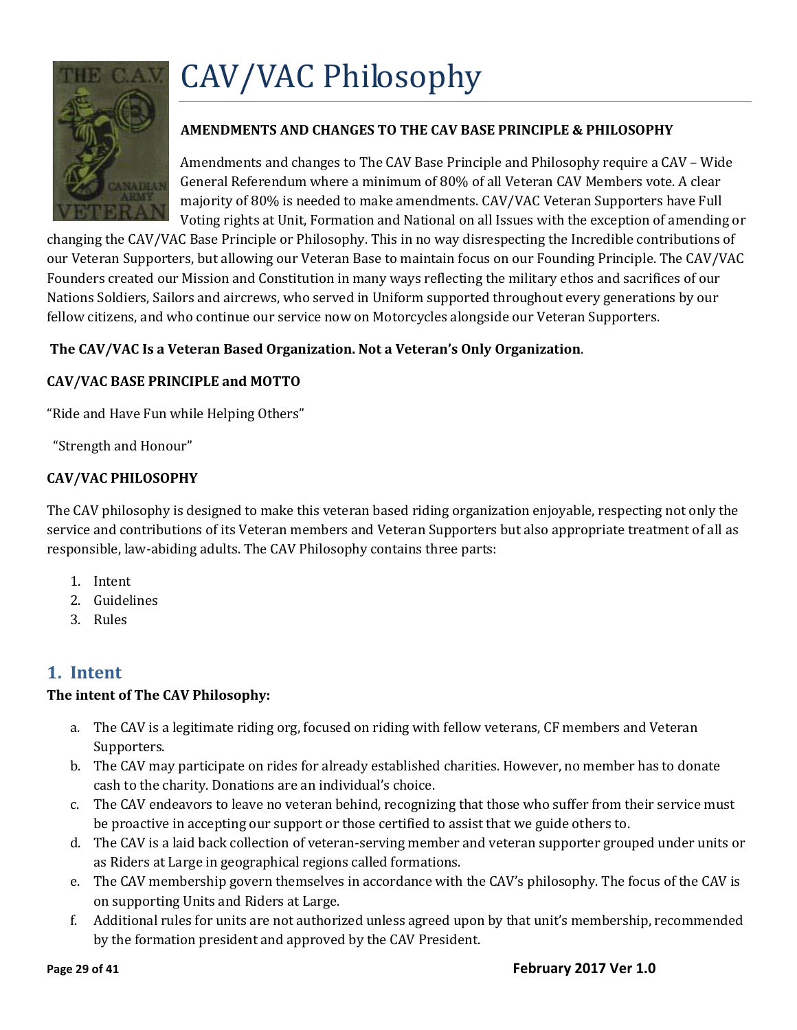

#### <span id="page-28-0"></span>**AMENDMENTS AND CHANGES TO THE CAV BASE PRINCIPLE & PHILOSOPHY**

Amendments and changes to The CAV Base Principle and Philosophy require a CAV – Wide General Referendum where a minimum of 80% of all Veteran CAV Members vote. A clear majority of 80% is needed to make amendments. CAV/VAC Veteran Supporters have Full Voting rights at Unit, Formation and National on all Issues with the exception of amending or

changing the CAV/VAC Base Principle or Philosophy. This in no way disrespecting the Incredible contributions of our Veteran Supporters, but allowing our Veteran Base to maintain focus on our Founding Principle. The CAV/VAC Founders created our Mission and Constitution in many ways reflecting the military ethos and sacrifices of our Nations Soldiers, Sailors and aircrews, who served in Uniform supported throughout every generations by our fellow citizens, and who continue our service now on Motorcycles alongside our Veteran Supporters.

#### **The CAV/VAC Is a Veteran Based Organization. Not a Veteran's Only Organization**.

#### **CAV/VAC BASE PRINCIPLE and MOTTO**

"Ride and Have Fun while Helping Others"

"Strength and Honour"

#### **CAV/VAC PHILOSOPHY**

The CAV philosophy is designed to make this veteran based riding organization enjoyable, respecting not only the service and contributions of its Veteran members and Veteran Supporters but also appropriate treatment of all as responsible, law-abiding adults. The CAV Philosophy contains three parts:

- 1. Intent
- 2. Guidelines
- 3. Rules

#### <span id="page-28-1"></span>**1. Intent**

#### **The intent of The CAV Philosophy:**

- a. The CAV is a legitimate riding org, focused on riding with fellow veterans, CF members and Veteran Supporters.
- b. The CAV may participate on rides for already established charities. However, no member has to donate cash to the charity. Donations are an individual's choice.
- c. The CAV endeavors to leave no veteran behind, recognizing that those who suffer from their service must be proactive in accepting our support or those certified to assist that we guide others to.
- d. The CAV is a laid back collection of veteran-serving member and veteran supporter grouped under units or as Riders at Large in geographical regions called formations.
- e. The CAV membership govern themselves in accordance with the CAV's philosophy. The focus of the CAV is on supporting Units and Riders at Large.
- f. Additional rules for units are not authorized unless agreed upon by that unit's membership, recommended by the formation president and approved by the CAV President.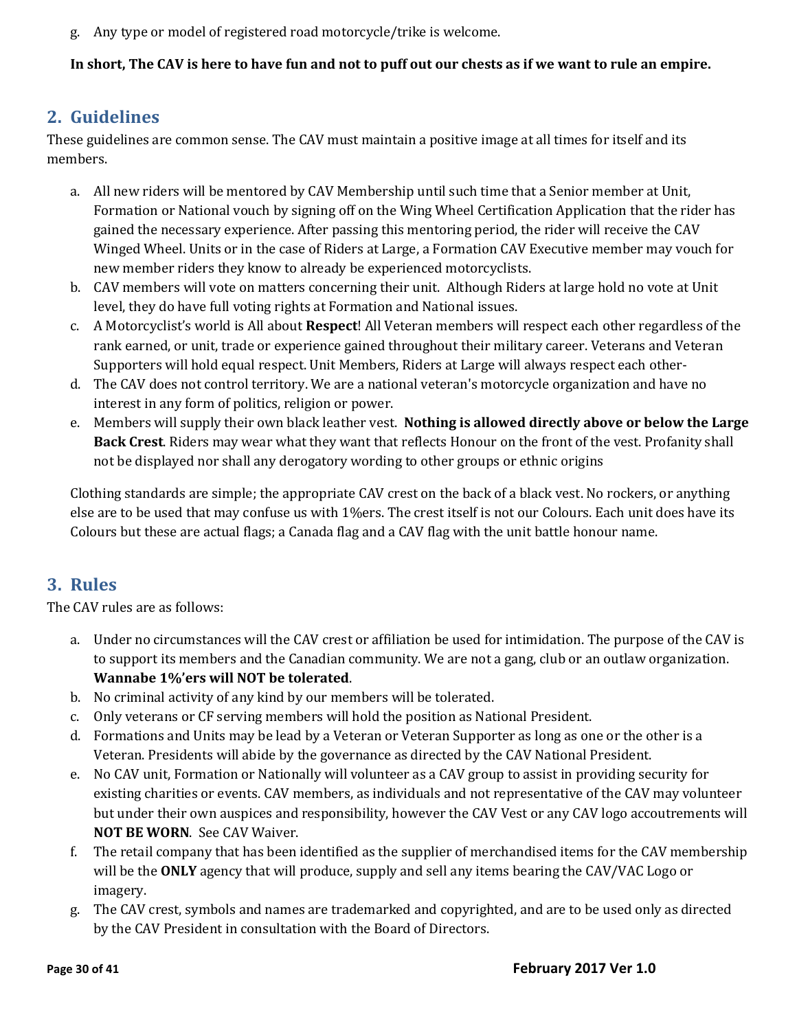g. Any type or model of registered road motorcycle/trike is welcome.

**In short, The CAV is here to have fun and not to puff out our chests as if we want to rule an empire.**

# <span id="page-29-0"></span>**2. Guidelines**

These guidelines are common sense. The CAV must maintain a positive image at all times for itself and its members.

- a. All new riders will be mentored by CAV Membership until such time that a Senior member at Unit, Formation or National vouch by signing off on the Wing Wheel Certification Application that the rider has gained the necessary experience. After passing this mentoring period, the rider will receive the CAV Winged Wheel. Units or in the case of Riders at Large, a Formation CAV Executive member may vouch for new member riders they know to already be experienced motorcyclists.
- b. CAV members will vote on matters concerning their unit. Although Riders at large hold no vote at Unit level, they do have full voting rights at Formation and National issues.
- c. A Motorcyclist's world is All about **Respect**! All Veteran members will respect each other regardless of the rank earned, or unit, trade or experience gained throughout their military career. Veterans and Veteran Supporters will hold equal respect. Unit Members, Riders at Large will always respect each other-
- d. The CAV does not control territory. We are a national veteran's motorcycle organization and have no interest in any form of politics, religion or power.
- e. Members will supply their own black leather vest. **Nothing is allowed directly above or below the Large Back Crest**. Riders may wear what they want that reflects Honour on the front of the vest. Profanity shall not be displayed nor shall any derogatory wording to other groups or ethnic origins

Clothing standards are simple; the appropriate CAV crest on the back of a black vest. No rockers, or anything else are to be used that may confuse us with 1%ers. The crest itself is not our Colours. Each unit does have its Colours but these are actual flags; a Canada flag and a CAV flag with the unit battle honour name.

# <span id="page-29-1"></span>**3. Rules**

The CAV rules are as follows:

- a. Under no circumstances will the CAV crest or affiliation be used for intimidation. The purpose of the CAV is to support its members and the Canadian community. We are not a gang, club or an outlaw organization. **Wannabe 1%'ers will NOT be tolerated**.
- b. No criminal activity of any kind by our members will be tolerated.
- c. Only veterans or CF serving members will hold the position as National President.
- d. Formations and Units may be lead by a Veteran or Veteran Supporter as long as one or the other is a Veteran. Presidents will abide by the governance as directed by the CAV National President.
- e. No CAV unit, Formation or Nationally will volunteer as a CAV group to assist in providing security for existing charities or events. CAV members, as individuals and not representative of the CAV may volunteer but under their own auspices and responsibility, however the CAV Vest or any CAV logo accoutrements will **NOT BE WORN**. See CAV Waiver.
- f. The retail company that has been identified as the supplier of merchandised items for the CAV membership will be the **ONLY** agency that will produce, supply and sell any items bearing the CAV/VAC Logo or imagery.
- g. The CAV crest, symbols and names are trademarked and copyrighted, and are to be used only as directed by the CAV President in consultation with the Board of Directors.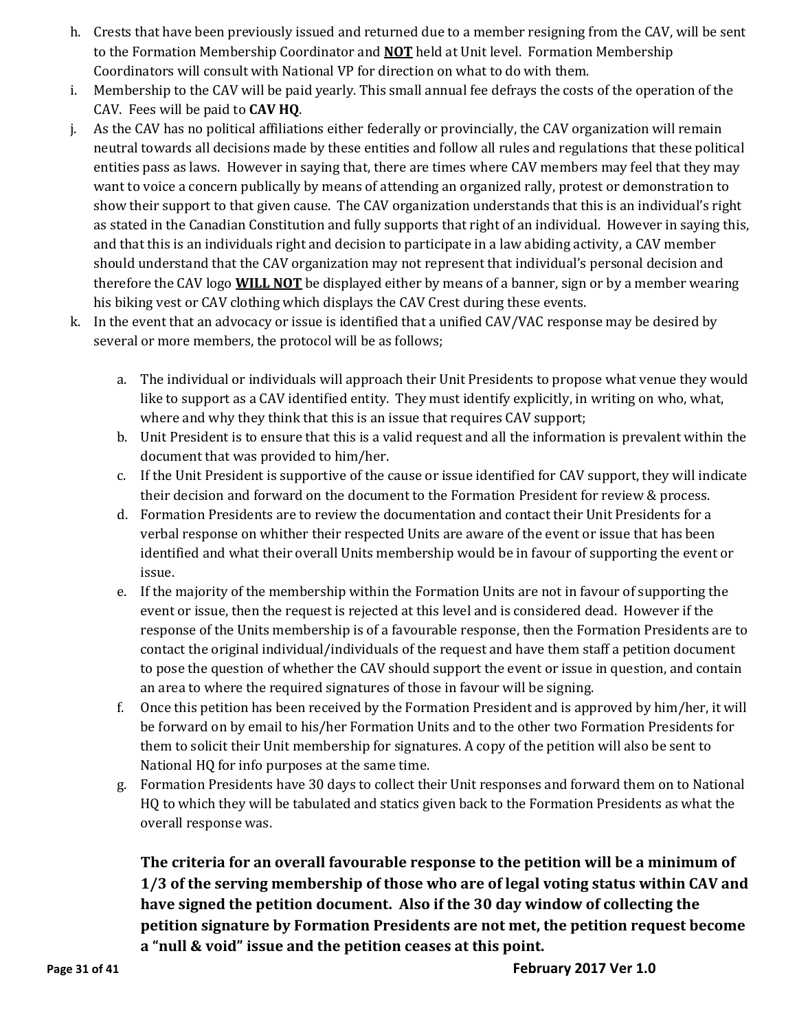- h. Crests that have been previously issued and returned due to a member resigning from the CAV, will be sent to the Formation Membership Coordinator and **NOT** held at Unit level. Formation Membership Coordinators will consult with National VP for direction on what to do with them.
- i. Membership to the CAV will be paid yearly. This small annual fee defrays the costs of the operation of the CAV. Fees will be paid to **CAV HQ**.
- j. As the CAV has no political affiliations either federally or provincially, the CAV organization will remain neutral towards all decisions made by these entities and follow all rules and regulations that these political entities pass as laws. However in saying that, there are times where CAV members may feel that they may want to voice a concern publically by means of attending an organized rally, protest or demonstration to show their support to that given cause. The CAV organization understands that this is an individual's right as stated in the Canadian Constitution and fully supports that right of an individual. However in saying this, and that this is an individuals right and decision to participate in a law abiding activity, a CAV member should understand that the CAV organization may not represent that individual's personal decision and therefore the CAV logo **WILL NOT** be displayed either by means of a banner, sign or by a member wearing his biking vest or CAV clothing which displays the CAV Crest during these events.
- k. In the event that an advocacy or issue is identified that a unified CAV/VAC response may be desired by several or more members, the protocol will be as follows;
	- a. The individual or individuals will approach their Unit Presidents to propose what venue they would like to support as a CAV identified entity. They must identify explicitly, in writing on who, what, where and why they think that this is an issue that requires CAV support;
	- b. Unit President is to ensure that this is a valid request and all the information is prevalent within the document that was provided to him/her.
	- c. If the Unit President is supportive of the cause or issue identified for CAV support, they will indicate their decision and forward on the document to the Formation President for review & process.
	- d. Formation Presidents are to review the documentation and contact their Unit Presidents for a verbal response on whither their respected Units are aware of the event or issue that has been identified and what their overall Units membership would be in favour of supporting the event or issue.
	- e. If the majority of the membership within the Formation Units are not in favour of supporting the event or issue, then the request is rejected at this level and is considered dead. However if the response of the Units membership is of a favourable response, then the Formation Presidents are to contact the original individual/individuals of the request and have them staff a petition document to pose the question of whether the CAV should support the event or issue in question, and contain an area to where the required signatures of those in favour will be signing.
	- f. Once this petition has been received by the Formation President and is approved by him/her, it will be forward on by email to his/her Formation Units and to the other two Formation Presidents for them to solicit their Unit membership for signatures. A copy of the petition will also be sent to National HQ for info purposes at the same time.
	- g. Formation Presidents have 30 days to collect their Unit responses and forward them on to National HQ to which they will be tabulated and statics given back to the Formation Presidents as what the overall response was.

**The criteria for an overall favourable response to the petition will be a minimum of 1/3 of the serving membership of those who are of legal voting status within CAV and have signed the petition document. Also if the 30 day window of collecting the petition signature by Formation Presidents are not met, the petition request become a "null & void" issue and the petition ceases at this point.**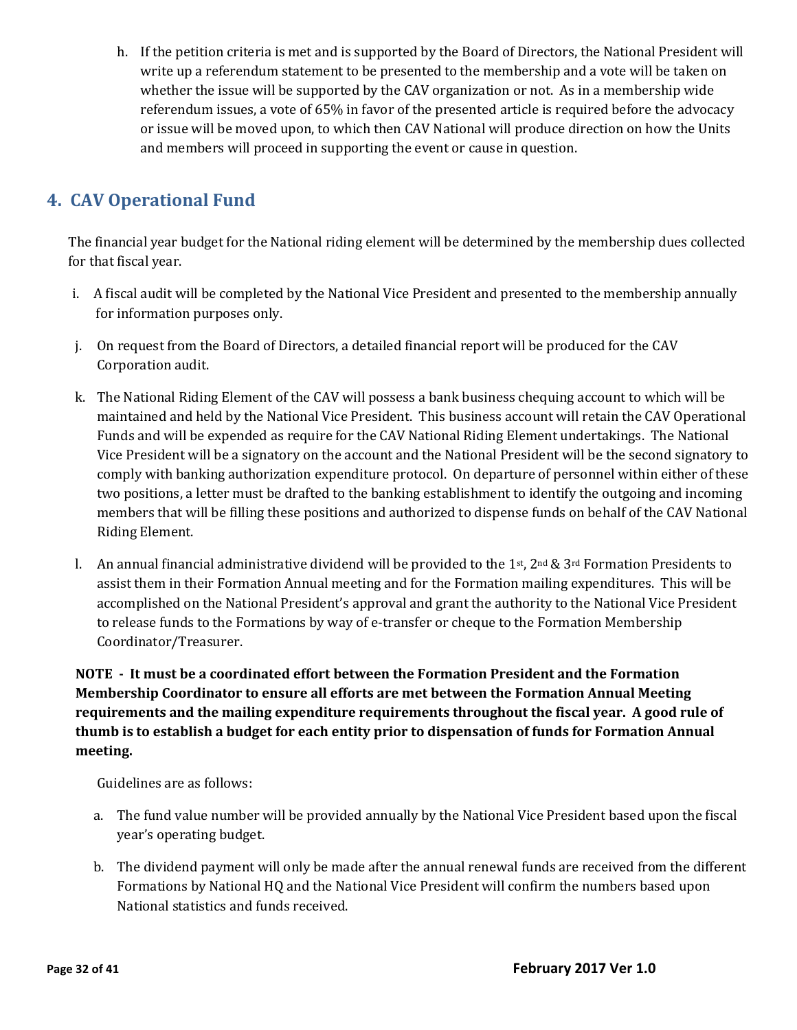h. If the petition criteria is met and is supported by the Board of Directors, the National President will write up a referendum statement to be presented to the membership and a vote will be taken on whether the issue will be supported by the CAV organization or not. As in a membership wide referendum issues, a vote of 65% in favor of the presented article is required before the advocacy or issue will be moved upon, to which then CAV National will produce direction on how the Units and members will proceed in supporting the event or cause in question.

# <span id="page-31-0"></span>**4. CAV Operational Fund**

The financial year budget for the National riding element will be determined by the membership dues collected for that fiscal year.

- i. A fiscal audit will be completed by the National Vice President and presented to the membership annually for information purposes only.
- j. On request from the Board of Directors, a detailed financial report will be produced for the CAV Corporation audit.
- k. The National Riding Element of the CAV will possess a bank business chequing account to which will be maintained and held by the National Vice President. This business account will retain the CAV Operational Funds and will be expended as require for the CAV National Riding Element undertakings. The National Vice President will be a signatory on the account and the National President will be the second signatory to comply with banking authorization expenditure protocol. On departure of personnel within either of these two positions, a letter must be drafted to the banking establishment to identify the outgoing and incoming members that will be filling these positions and authorized to dispense funds on behalf of the CAV National Riding Element.
- l. An annual financial administrative dividend will be provided to the 1st, 2nd & 3rd Formation Presidents to assist them in their Formation Annual meeting and for the Formation mailing expenditures. This will be accomplished on the National President's approval and grant the authority to the National Vice President to release funds to the Formations by way of e-transfer or cheque to the Formation Membership Coordinator/Treasurer.

#### **NOTE - It must be a coordinated effort between the Formation President and the Formation Membership Coordinator to ensure all efforts are met between the Formation Annual Meeting requirements and the mailing expenditure requirements throughout the fiscal year. A good rule of thumb is to establish a budget for each entity prior to dispensation of funds for Formation Annual meeting.**

Guidelines are as follows:

- a. The fund value number will be provided annually by the National Vice President based upon the fiscal year's operating budget.
- b. The dividend payment will only be made after the annual renewal funds are received from the different Formations by National HQ and the National Vice President will confirm the numbers based upon National statistics and funds received.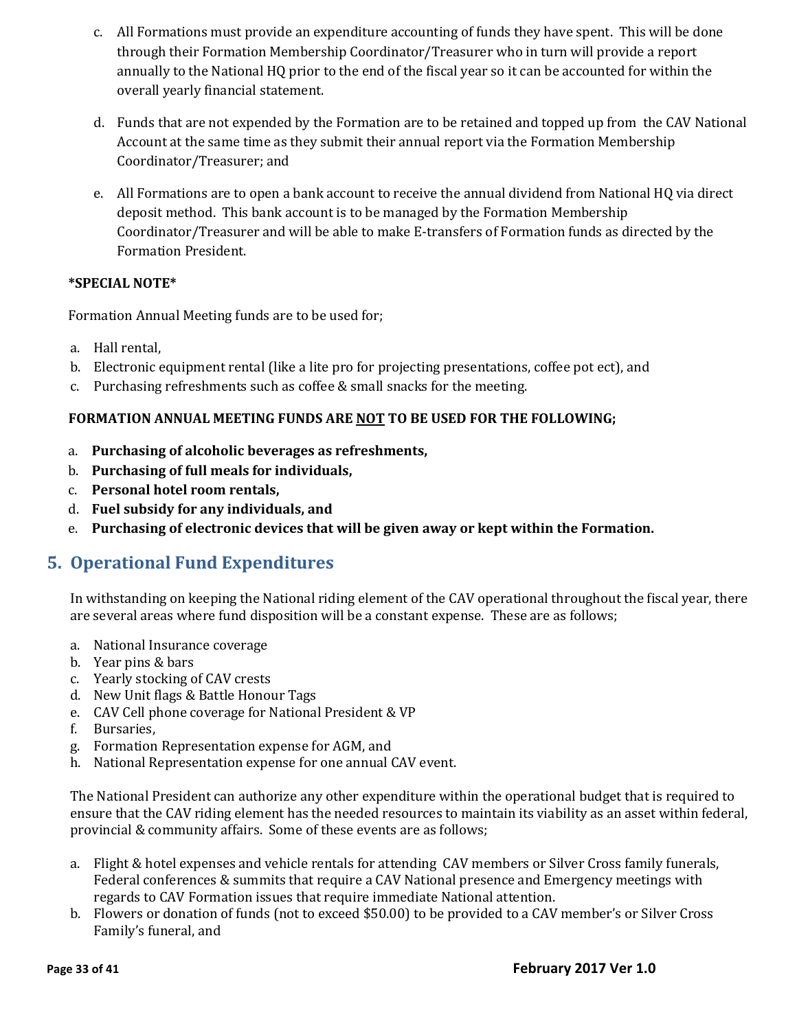- c. All Formations must provide an expenditure accounting of funds they have spent. This will be done through their Formation Membership Coordinator/Treasurer who in turn will provide a report annually to the National HQ prior to the end of the fiscal year so it can be accounted for within the overall yearly financial statement.
- d. Funds that are not expended by the Formation are to be retained and topped up from the CAV National Account at the same time as they submit their annual report via the Formation Membership Coordinator/Treasurer; and
- e. All Formations are to open a bank account to receive the annual dividend from National HQ via direct deposit method. This bank account is to be managed by the Formation Membership Coordinator/Treasurer and will be able to make E-transfers of Formation funds as directed by the Formation President.

#### **\*SPECIAL NOTE\***

Formation Annual Meeting funds are to be used for;

- a. Hall rental,
- b. Electronic equipment rental (like a lite pro for projecting presentations, coffee pot ect), and
- c. Purchasing refreshments such as coffee & small snacks for the meeting.

#### **FORMATION ANNUAL MEETING FUNDS ARE NOT TO BE USED FOR THE FOLLOWING;**

- a. **Purchasing of alcoholic beverages as refreshments,**
- b. **Purchasing of full meals for individuals,**
- c. **Personal hotel room rentals,**
- d. **Fuel subsidy for any individuals, and**
- e. **Purchasing of electronic devices that will be given away or kept within the Formation.**

### <span id="page-32-0"></span>**5. Operational Fund Expenditures**

In withstanding on keeping the National riding element of the CAV operational throughout the fiscal year, there are several areas where fund disposition will be a constant expense. These are as follows;

- a. National Insurance coverage
- b. Year pins & bars
- c. Yearly stocking of CAV crests
- d. New Unit flags & Battle Honour Tags
- e. CAV Cell phone coverage for National President & VP
- f. Bursaries,
- g. Formation Representation expense for AGM, and
- h. National Representation expense for one annual CAV event.

The National President can authorize any other expenditure within the operational budget that is required to ensure that the CAV riding element has the needed resources to maintain its viability as an asset within federal, provincial & community affairs. Some of these events are as follows;

- a. Flight & hotel expenses and vehicle rentals for attending CAV members or Silver Cross family funerals, Federal conferences & summits that require a CAV National presence and Emergency meetings with regards to CAV Formation issues that require immediate National attention.
- b. Flowers or donation of funds (not to exceed \$50.00) to be provided to a CAV member's or Silver Cross Family's funeral, and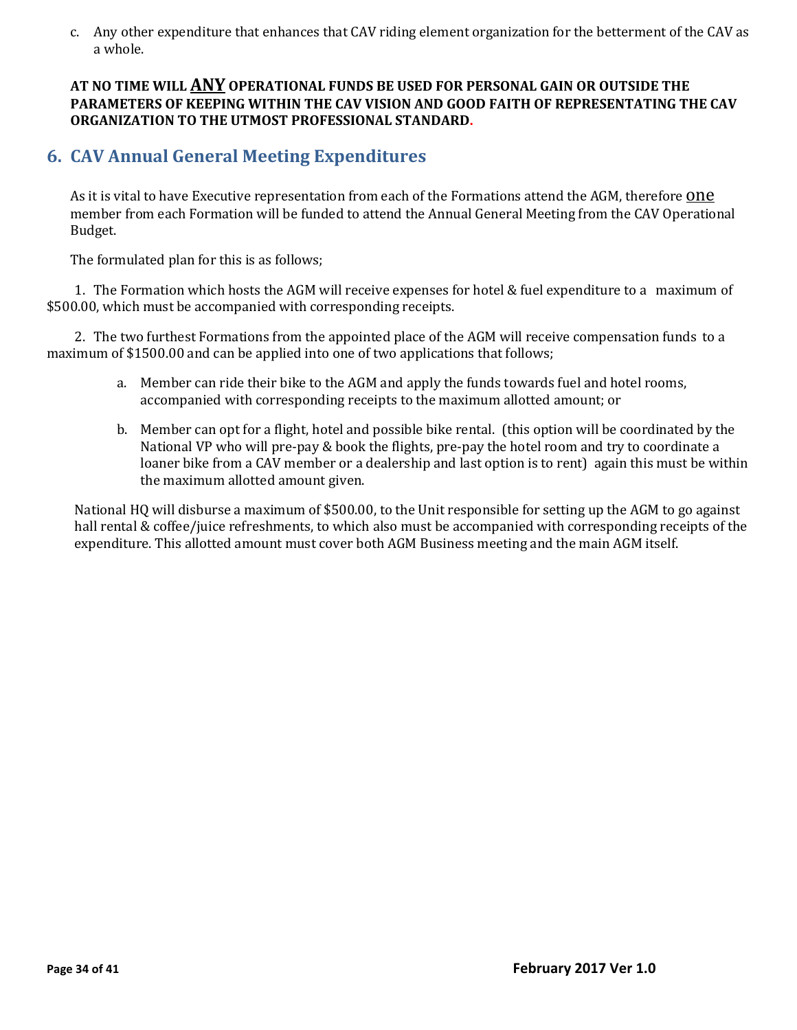c. Any other expenditure that enhances that CAV riding element organization for the betterment of the CAV as a whole.

**AT NO TIME WILL ANY OPERATIONAL FUNDS BE USED FOR PERSONAL GAIN OR OUTSIDE THE PARAMETERS OF KEEPING WITHIN THE CAV VISION AND GOOD FAITH OF REPRESENTATING THE CAV ORGANIZATION TO THE UTMOST PROFESSIONAL STANDARD.**

### <span id="page-33-0"></span>**6. CAV Annual General Meeting Expenditures**

As it is vital to have Executive representation from each of the Formations attend the AGM, therefore **ONE** member from each Formation will be funded to attend the Annual General Meeting from the CAV Operational Budget.

The formulated plan for this is as follows;

1. The Formation which hosts the AGM will receive expenses for hotel & fuel expenditure to a maximum of \$500.00, which must be accompanied with corresponding receipts.

2. The two furthest Formations from the appointed place of the AGM will receive compensation funds to a maximum of \$1500.00 and can be applied into one of two applications that follows;

- a. Member can ride their bike to the AGM and apply the funds towards fuel and hotel rooms, accompanied with corresponding receipts to the maximum allotted amount; or
- b. Member can opt for a flight, hotel and possible bike rental. (this option will be coordinated by the National VP who will pre-pay & book the flights, pre-pay the hotel room and try to coordinate a loaner bike from a CAV member or a dealership and last option is to rent) again this must be within the maximum allotted amount given.

National HQ will disburse a maximum of \$500.00, to the Unit responsible for setting up the AGM to go against hall rental & coffee/juice refreshments, to which also must be accompanied with corresponding receipts of the expenditure. This allotted amount must cover both AGM Business meeting and the main AGM itself.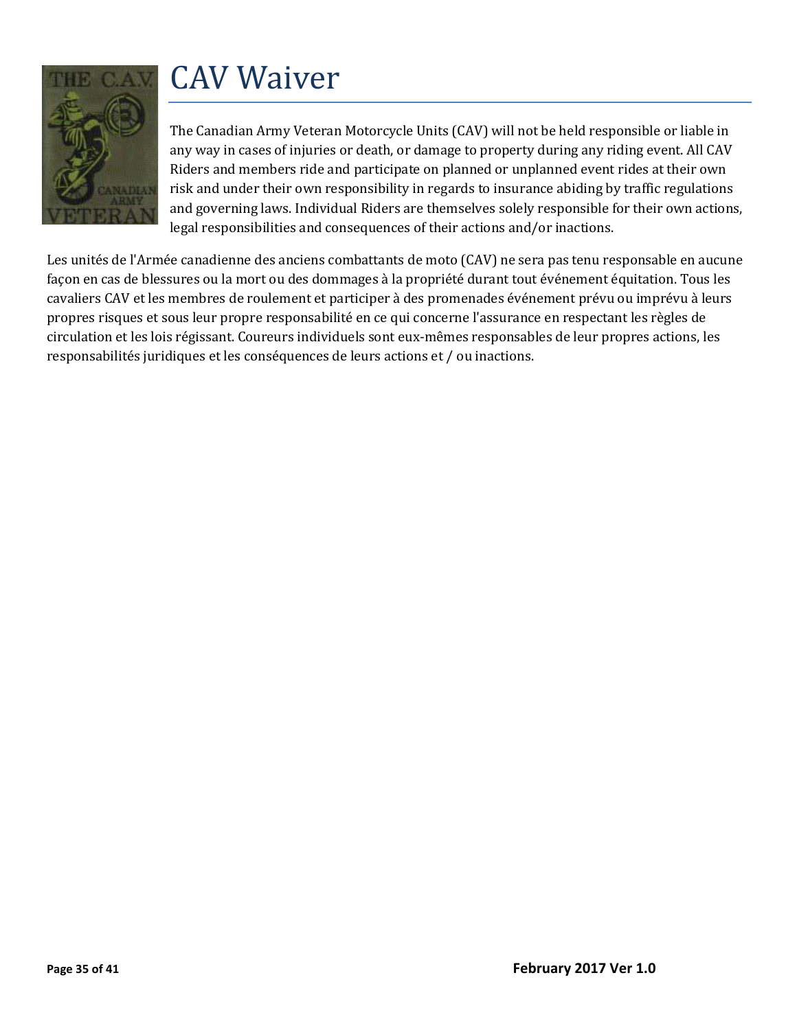

# <span id="page-34-0"></span>CAV Waiver

The Canadian Army Veteran Motorcycle Units (CAV) will not be held responsible or liable in any way in cases of injuries or death, or damage to property during any riding event. All CAV Riders and members ride and participate on planned or unplanned event rides at their own risk and under their own responsibility in regards to insurance abiding by traffic regulations and governing laws. Individual Riders are themselves solely responsible for their own actions, legal responsibilities and consequences of their actions and/or inactions.

Les unités de l'Armée canadienne des anciens combattants de moto (CAV) ne sera pas tenu responsable en aucune façon en cas de blessures ou la mort ou des dommages à la propriété durant tout événement équitation. Tous les cavaliers CAV et les membres de roulement et participer à des promenades événement prévu ou imprévu à leurs propres risques et sous leur propre responsabilité en ce qui concerne l'assurance en respectant les règles de circulation et les lois régissant. Coureurs individuels sont eux-mêmes responsables de leur propres actions, les responsabilités juridiques et les conséquences de leurs actions et / ou inactions.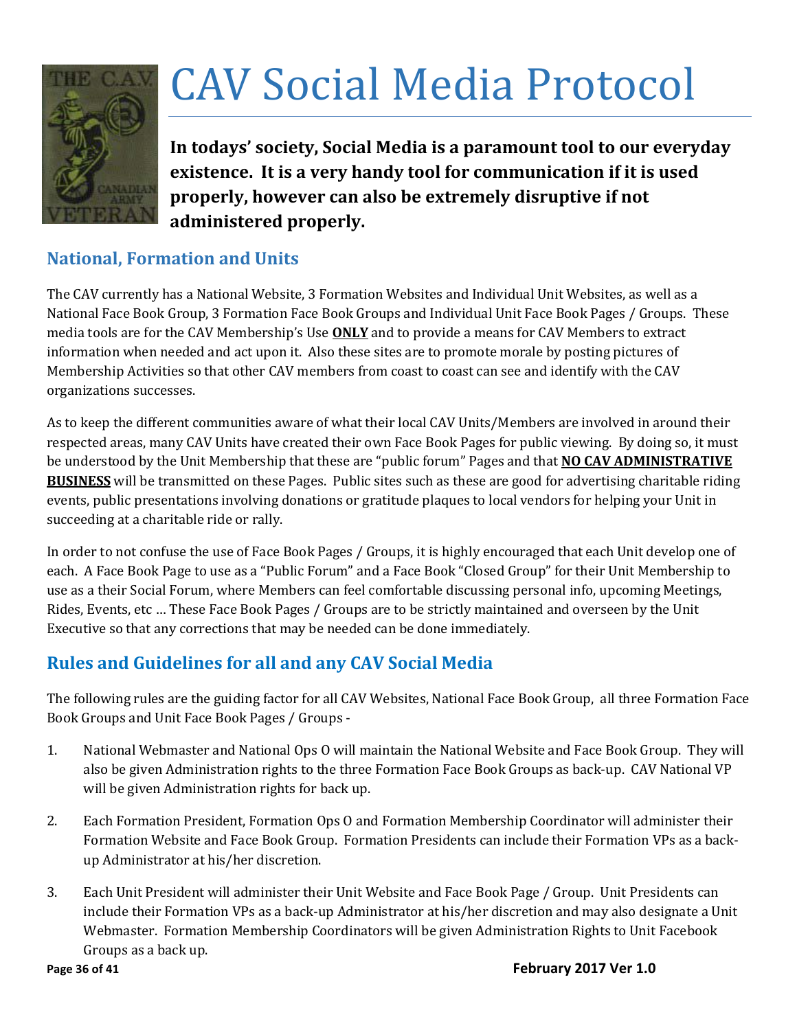

# <span id="page-35-0"></span>CAV Social Media Protocol

**In todays' society, Social Media is a paramount tool to our everyday existence. It is a very handy tool for communication if it is used properly, however can also be extremely disruptive if not administered properly.** 

# **National, Formation and Units**

The CAV currently has a National Website, 3 Formation Websites and Individual Unit Websites, as well as a National Face Book Group, 3 Formation Face Book Groups and Individual Unit Face Book Pages / Groups. These media tools are for the CAV Membership's Use **ONLY** and to provide a means for CAV Members to extract information when needed and act upon it. Also these sites are to promote morale by posting pictures of Membership Activities so that other CAV members from coast to coast can see and identify with the CAV organizations successes.

As to keep the different communities aware of what their local CAV Units/Members are involved in around their respected areas, many CAV Units have created their own Face Book Pages for public viewing. By doing so, it must be understood by the Unit Membership that these are "public forum" Pages and that **NO CAV ADMINISTRATIVE BUSINESS** will be transmitted on these Pages. Public sites such as these are good for advertising charitable riding events, public presentations involving donations or gratitude plaques to local vendors for helping your Unit in succeeding at a charitable ride or rally.

In order to not confuse the use of Face Book Pages / Groups, it is highly encouraged that each Unit develop one of each. A Face Book Page to use as a "Public Forum" and a Face Book "Closed Group" for their Unit Membership to use as a their Social Forum, where Members can feel comfortable discussing personal info, upcoming Meetings, Rides, Events, etc … These Face Book Pages / Groups are to be strictly maintained and overseen by the Unit Executive so that any corrections that may be needed can be done immediately.

# **Rules and Guidelines for all and any CAV Social Media**

The following rules are the guiding factor for all CAV Websites, National Face Book Group, all three Formation Face Book Groups and Unit Face Book Pages / Groups -

- 1. National Webmaster and National Ops O will maintain the National Website and Face Book Group. They will also be given Administration rights to the three Formation Face Book Groups as back-up. CAV National VP will be given Administration rights for back up.
- 2. Each Formation President, Formation Ops O and Formation Membership Coordinator will administer their Formation Website and Face Book Group. Formation Presidents can include their Formation VPs as a backup Administrator at his/her discretion.
- 3. Each Unit President will administer their Unit Website and Face Book Page / Group. Unit Presidents can include their Formation VPs as a back-up Administrator at his/her discretion and may also designate a Unit Webmaster. Formation Membership Coordinators will be given Administration Rights to Unit Facebook Groups as a back up.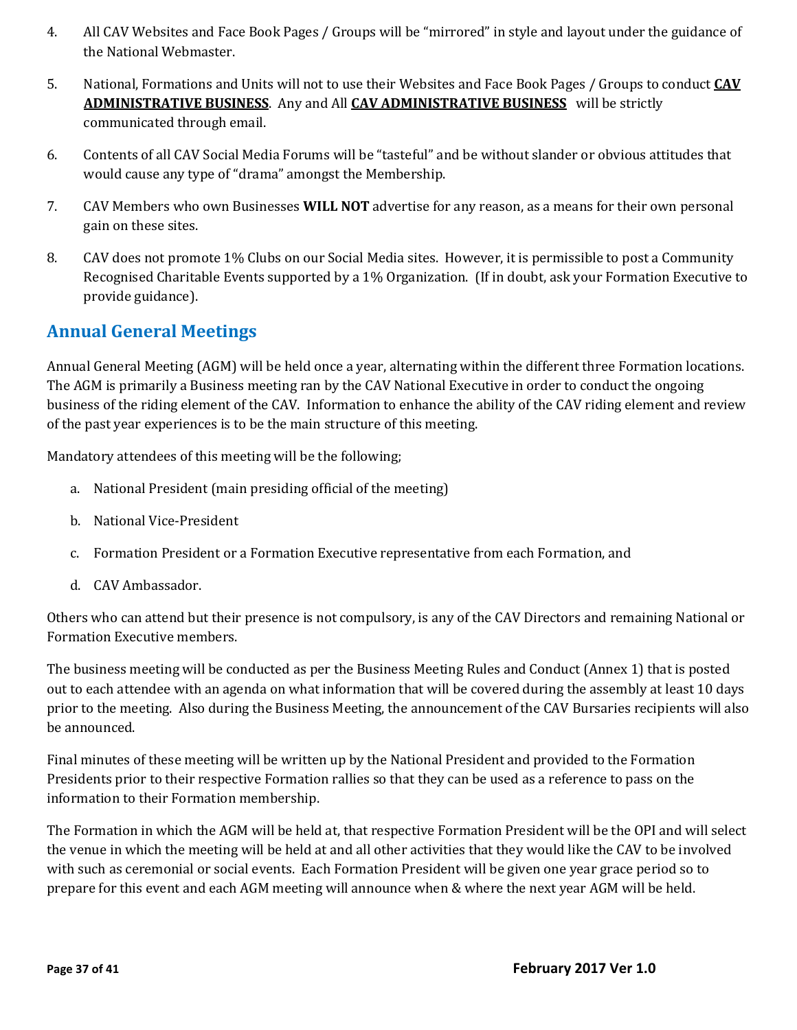- 4. All CAV Websites and Face Book Pages / Groups will be "mirrored" in style and layout under the guidance of the National Webmaster.
- 5. National, Formations and Units will not to use their Websites and Face Book Pages / Groups to conduct **CAV ADMINISTRATIVE BUSINESS**. Any and All **CAV ADMINISTRATIVE BUSINESS** will be strictly communicated through email.
- 6. Contents of all CAV Social Media Forums will be "tasteful" and be without slander or obvious attitudes that would cause any type of "drama" amongst the Membership.
- 7. CAV Members who own Businesses **WILL NOT** advertise for any reason, as a means for their own personal gain on these sites.
- 8. CAV does not promote 1% Clubs on our Social Media sites. However, it is permissible to post a Community Recognised Charitable Events supported by a 1% Organization. (If in doubt, ask your Formation Executive to provide guidance).

# **Annual General Meetings**

Annual General Meeting (AGM) will be held once a year, alternating within the different three Formation locations. The AGM is primarily a Business meeting ran by the CAV National Executive in order to conduct the ongoing business of the riding element of the CAV. Information to enhance the ability of the CAV riding element and review of the past year experiences is to be the main structure of this meeting.

Mandatory attendees of this meeting will be the following;

- a. National President (main presiding official of the meeting)
- b. National Vice-President
- c. Formation President or a Formation Executive representative from each Formation, and
- d. CAV Ambassador.

Others who can attend but their presence is not compulsory, is any of the CAV Directors and remaining National or Formation Executive members.

The business meeting will be conducted as per the Business Meeting Rules and Conduct (Annex 1) that is posted out to each attendee with an agenda on what information that will be covered during the assembly at least 10 days prior to the meeting. Also during the Business Meeting, the announcement of the CAV Bursaries recipients will also be announced.

Final minutes of these meeting will be written up by the National President and provided to the Formation Presidents prior to their respective Formation rallies so that they can be used as a reference to pass on the information to their Formation membership.

The Formation in which the AGM will be held at, that respective Formation President will be the OPI and will select the venue in which the meeting will be held at and all other activities that they would like the CAV to be involved with such as ceremonial or social events. Each Formation President will be given one year grace period so to prepare for this event and each AGM meeting will announce when & where the next year AGM will be held.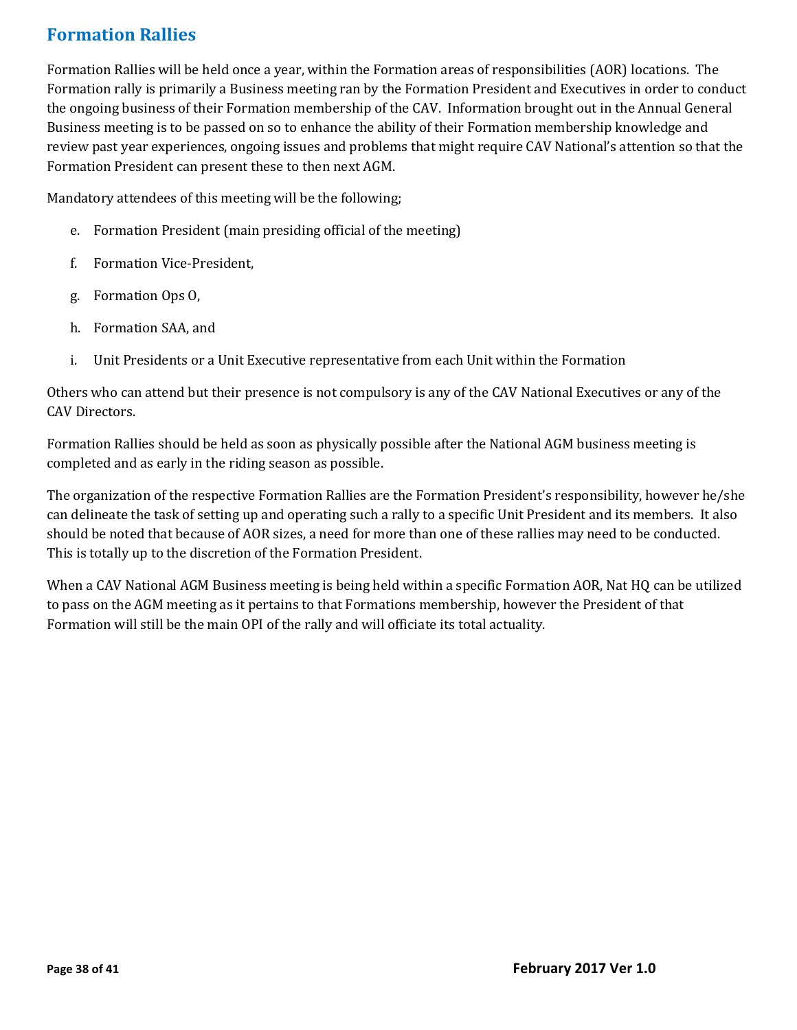# **Formation Rallies**

Formation Rallies will be held once a year, within the Formation areas of responsibilities (AOR) locations. The Formation rally is primarily a Business meeting ran by the Formation President and Executives in order to conduct the ongoing business of their Formation membership of the CAV. Information brought out in the Annual General Business meeting is to be passed on so to enhance the ability of their Formation membership knowledge and review past year experiences, ongoing issues and problems that might require CAV National's attention so that the Formation President can present these to then next AGM.

Mandatory attendees of this meeting will be the following;

- e. Formation President (main presiding official of the meeting)
- f. Formation Vice-President,
- g. Formation Ops O,
- h. Formation SAA, and
- i. Unit Presidents or a Unit Executive representative from each Unit within the Formation

Others who can attend but their presence is not compulsory is any of the CAV National Executives or any of the CAV Directors.

Formation Rallies should be held as soon as physically possible after the National AGM business meeting is completed and as early in the riding season as possible.

The organization of the respective Formation Rallies are the Formation President's responsibility, however he/she can delineate the task of setting up and operating such a rally to a specific Unit President and its members. It also should be noted that because of AOR sizes, a need for more than one of these rallies may need to be conducted. This is totally up to the discretion of the Formation President.

When a CAV National AGM Business meeting is being held within a specific Formation AOR, Nat HQ can be utilized to pass on the AGM meeting as it pertains to that Formations membership, however the President of that Formation will still be the main OPI of the rally and will officiate its total actuality.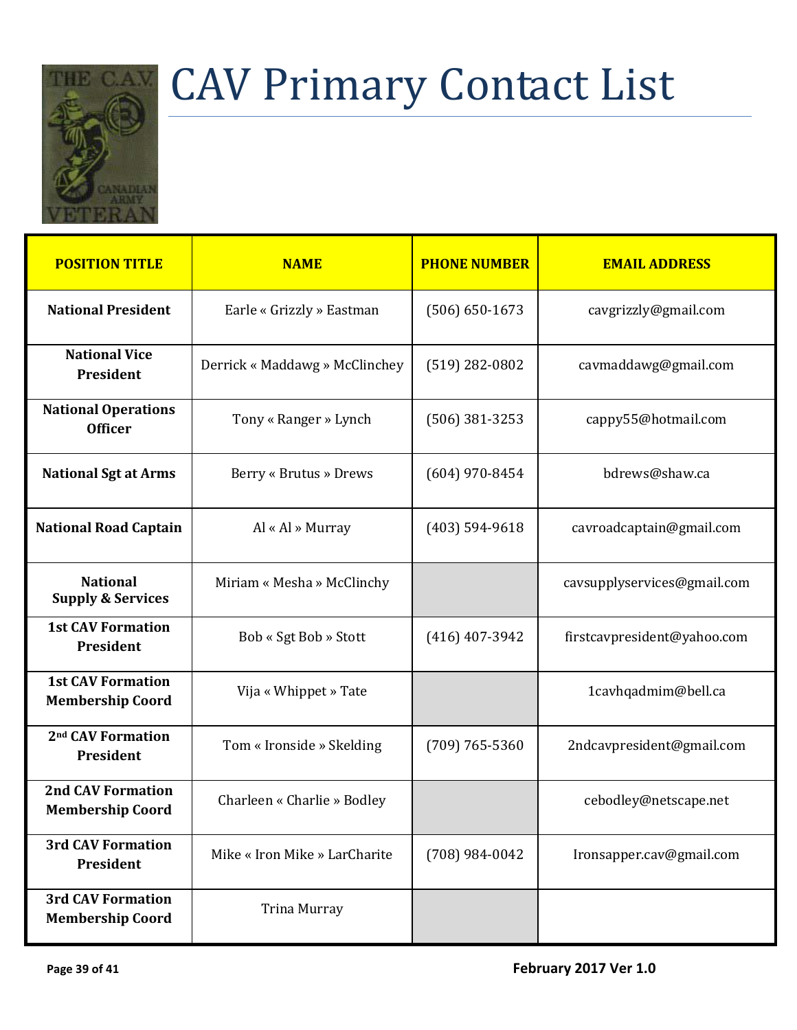

# <span id="page-38-0"></span>CAV Primary Contact List

| <b>POSITION TITLE</b>                               | <b>NAME</b>                    | <b>PHONE NUMBER</b> | <b>EMAIL ADDRESS</b>        |
|-----------------------------------------------------|--------------------------------|---------------------|-----------------------------|
| <b>National President</b>                           | Earle « Grizzly » Eastman      | $(506) 650 - 1673$  | cavgrizzly@gmail.com        |
| <b>National Vice</b><br>President                   | Derrick « Maddawg » McClinchey | $(519)$ 282-0802    | cavmaddawg@gmail.com        |
| <b>National Operations</b><br><b>Officer</b>        | Tony « Ranger » Lynch          | $(506)$ 381-3253    | cappy55@hotmail.com         |
| <b>National Sgt at Arms</b>                         | Berry « Brutus » Drews         | $(604)$ 970-8454    | bdrews@shaw.ca              |
| <b>National Road Captain</b>                        | Al « Al » Murray               | $(403) 594 - 9618$  | cavroadcaptain@gmail.com    |
| <b>National</b><br><b>Supply &amp; Services</b>     | Miriam « Mesha » McClinchy     |                     | cavsupplyservices@gmail.com |
| <b>1st CAV Formation</b><br>President               | Bob « Sgt Bob » Stott          | $(416)$ 407-3942    | firstcavpresident@yahoo.com |
| <b>1st CAV Formation</b><br><b>Membership Coord</b> | Vija « Whippet » Tate          |                     | 1cavhqadmim@bell.ca         |
| 2 <sup>nd</sup> CAV Formation<br>President          | Tom « Ironside » Skelding      | $(709) 765 - 5360$  | 2ndcavpresident@gmail.com   |
| <b>2nd CAV Formation</b><br><b>Membership Coord</b> | Charleen « Charlie » Bodley    |                     | cebodley@netscape.net       |
| <b>3rd CAV Formation</b><br>President               | Mike « Iron Mike » LarCharite  | $(708)$ 984-0042    | Ironsapper.cav@gmail.com    |
| <b>3rd CAV Formation</b><br><b>Membership Coord</b> | Trina Murray                   |                     |                             |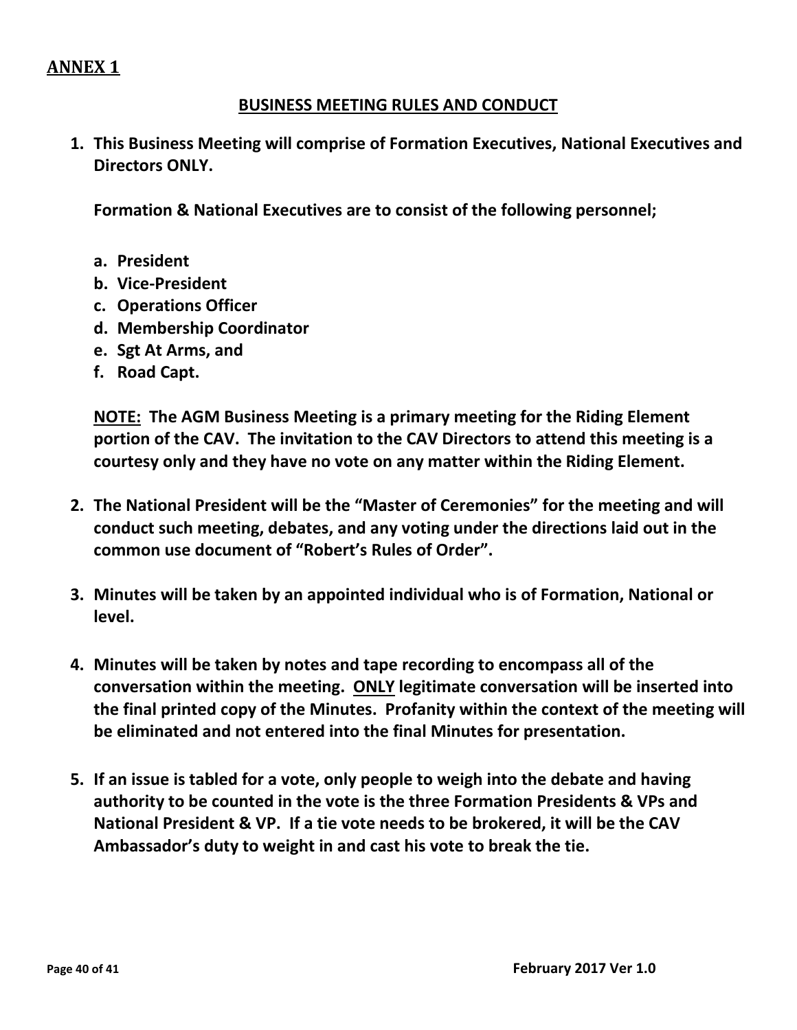# **ANNEX 1**

#### **BUSINESS MEETING RULES AND CONDUCT**

**1. This Business Meeting will comprise of Formation Executives, National Executives and Directors ONLY.**

**Formation & National Executives are to consist of the following personnel;**

- **a. President**
- **b. Vice-President**
- **c. Operations Officer**
- **d. Membership Coordinator**
- **e. Sgt At Arms, and**
- **f. Road Capt.**

**NOTE: The AGM Business Meeting is a primary meeting for the Riding Element portion of the CAV. The invitation to the CAV Directors to attend this meeting is a courtesy only and they have no vote on any matter within the Riding Element.**

- **2. The National President will be the "Master of Ceremonies" for the meeting and will conduct such meeting, debates, and any voting under the directions laid out in the common use document of "Robert's Rules of Order".**
- **3. Minutes will be taken by an appointed individual who is of Formation, National or level.**
- **4. Minutes will be taken by notes and tape recording to encompass all of the conversation within the meeting. ONLY legitimate conversation will be inserted into the final printed copy of the Minutes. Profanity within the context of the meeting will be eliminated and not entered into the final Minutes for presentation.**
- **5. If an issue is tabled for a vote, only people to weigh into the debate and having authority to be counted in the vote is the three Formation Presidents & VPs and National President & VP. If a tie vote needs to be brokered, it will be the CAV Ambassador's duty to weight in and cast his vote to break the tie.**